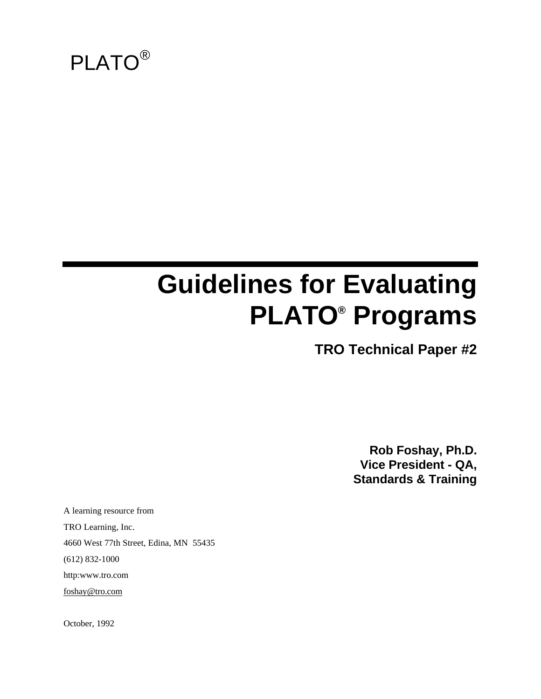

# **Guidelines for Evaluating PLATO® Programs**

**TRO Technical Paper #2**

**Rob Foshay, Ph.D. Vice President - QA, Standards & Training**

A learning resource from TRO Learning, Inc. 4660 West 77th Street, Edina, MN 55435 (612) 832-1000 http:www.tro.com foshay@tro.com

October, 1992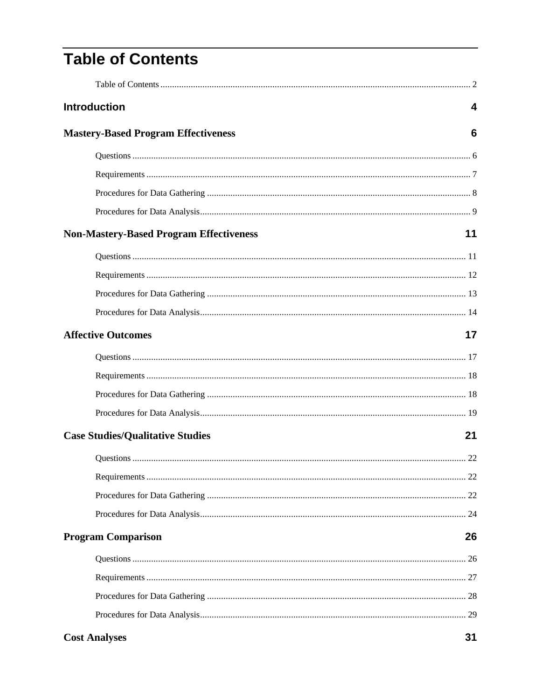## **Table of Contents**

| <b>Introduction</b>                            | 4  |
|------------------------------------------------|----|
| <b>Mastery-Based Program Effectiveness</b>     | 6  |
|                                                |    |
|                                                |    |
|                                                |    |
|                                                |    |
| <b>Non-Mastery-Based Program Effectiveness</b> | 11 |
|                                                |    |
|                                                |    |
|                                                |    |
|                                                |    |
| <b>Affective Outcomes</b>                      | 17 |
|                                                |    |
|                                                |    |
|                                                |    |
|                                                |    |
| <b>Case Studies/Qualitative Studies</b>        | 21 |
|                                                |    |
|                                                |    |
|                                                |    |
|                                                |    |
| <b>Program Comparison</b>                      | 26 |
|                                                |    |
|                                                |    |
|                                                |    |
|                                                |    |
| <b>Cost Analyses</b>                           | 31 |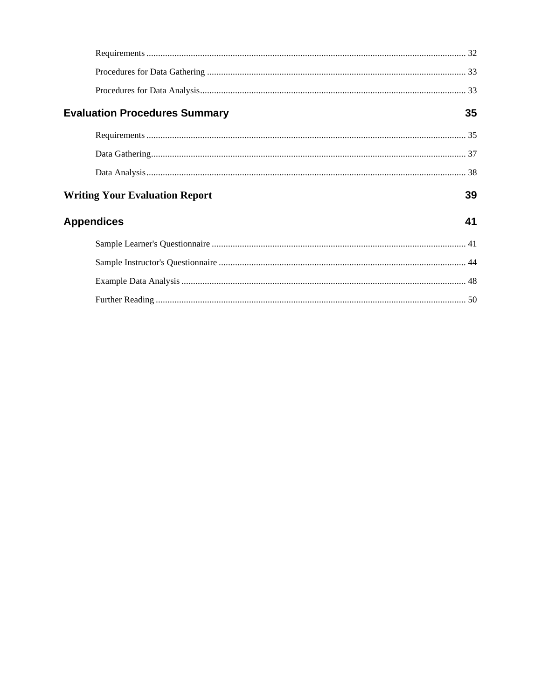| <b>Evaluation Procedures Summary</b>  | 35 |
|---------------------------------------|----|
|                                       |    |
|                                       |    |
|                                       |    |
| <b>Writing Your Evaluation Report</b> | 39 |
| <b>Appendices</b>                     | 41 |
|                                       |    |
|                                       |    |
|                                       |    |
|                                       |    |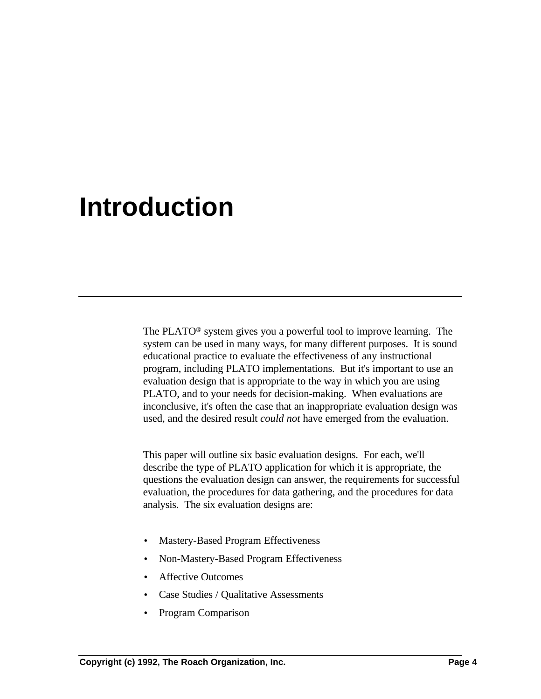## **Introduction**

The PLATO® system gives you a powerful tool to improve learning. The system can be used in many ways, for many different purposes. It is sound educational practice to evaluate the effectiveness of any instructional program, including PLATO implementations. But it's important to use an evaluation design that is appropriate to the way in which you are using PLATO, and to your needs for decision-making. When evaluations are inconclusive, it's often the case that an inappropriate evaluation design was used, and the desired result *could not* have emerged from the evaluation.

This paper will outline six basic evaluation designs. For each, we'll describe the type of PLATO application for which it is appropriate, the questions the evaluation design can answer, the requirements for successful evaluation, the procedures for data gathering, and the procedures for data analysis. The six evaluation designs are:

- Mastery-Based Program Effectiveness
- Non-Mastery-Based Program Effectiveness
- Affective Outcomes
- Case Studies / Qualitative Assessments
- Program Comparison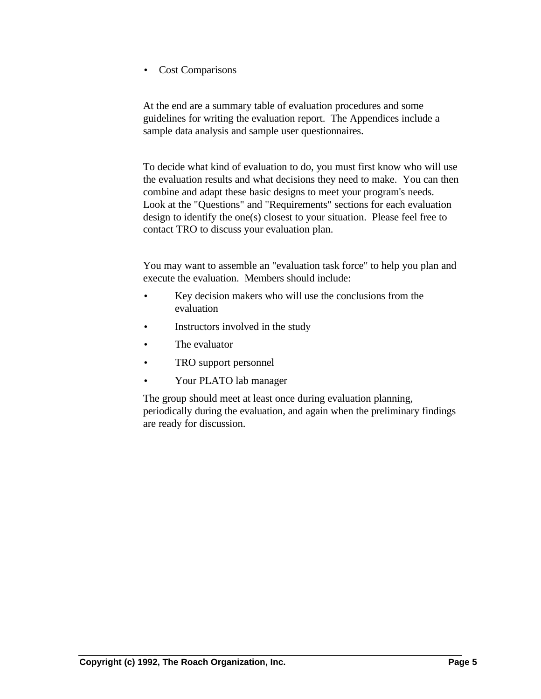• Cost Comparisons

At the end are a summary table of evaluation procedures and some guidelines for writing the evaluation report. The Appendices include a sample data analysis and sample user questionnaires.

To decide what kind of evaluation to do, you must first know who will use the evaluation results and what decisions they need to make. You can then combine and adapt these basic designs to meet your program's needs. Look at the "Questions" and "Requirements" sections for each evaluation design to identify the one(s) closest to your situation. Please feel free to contact TRO to discuss your evaluation plan.

You may want to assemble an "evaluation task force" to help you plan and execute the evaluation. Members should include:

- Key decision makers who will use the conclusions from the evaluation
- Instructors involved in the study
- The evaluator
- TRO support personnel
- Your PLATO lab manager

The group should meet at least once during evaluation planning, periodically during the evaluation, and again when the preliminary findings are ready for discussion.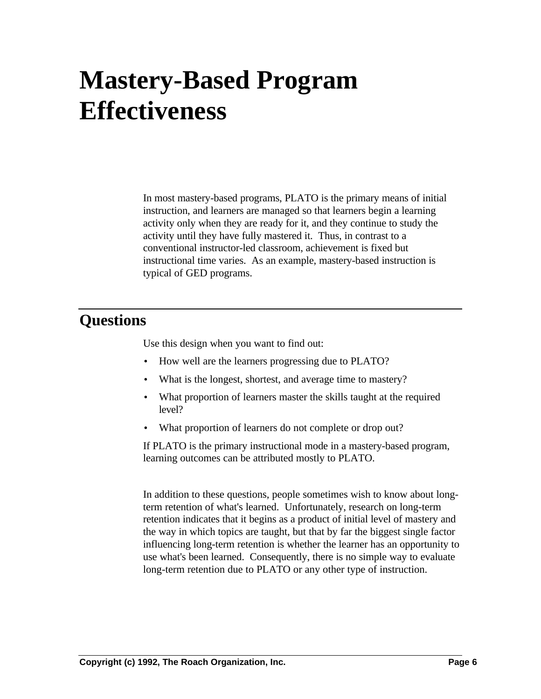# **Mastery-Based Program Effectiveness**

In most mastery-based programs, PLATO is the primary means of initial instruction, and learners are managed so that learners begin a learning activity only when they are ready for it, and they continue to study the activity until they have fully mastered it. Thus, in contrast to a conventional instructor-led classroom, achievement is fixed but instructional time varies. As an example, mastery-based instruction is typical of GED programs.

### **Questions**

Use this design when you want to find out:

- How well are the learners progressing due to PLATO?
- What is the longest, shortest, and average time to mastery?
- What proportion of learners master the skills taught at the required level?
- What proportion of learners do not complete or drop out?

If PLATO is the primary instructional mode in a mastery-based program, learning outcomes can be attributed mostly to PLATO.

In addition to these questions, people sometimes wish to know about longterm retention of what's learned. Unfortunately, research on long-term retention indicates that it begins as a product of initial level of mastery and the way in which topics are taught, but that by far the biggest single factor influencing long-term retention is whether the learner has an opportunity to use what's been learned. Consequently, there is no simple way to evaluate long-term retention due to PLATO or any other type of instruction.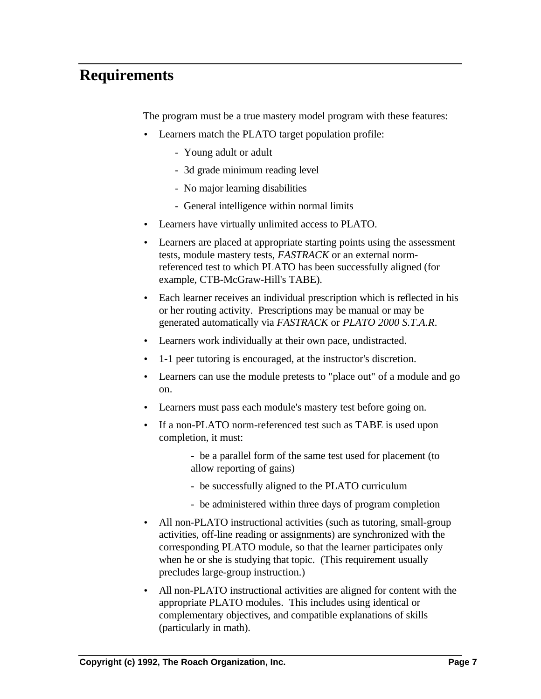### **Requirements**

The program must be a true mastery model program with these features:

- Learners match the PLATO target population profile:
	- Young adult or adult
	- 3d grade minimum reading level
	- No major learning disabilities
	- General intelligence within normal limits
- Learners have virtually unlimited access to PLATO.
- Learners are placed at appropriate starting points using the assessment tests, module mastery tests, *FASTRACK* or an external normreferenced test to which PLATO has been successfully aligned (for example, CTB-McGraw-Hill's TABE).
- Each learner receives an individual prescription which is reflected in his or her routing activity. Prescriptions may be manual or may be generated automatically via *FASTRACK* or *PLATO 2000 S.T.A.R*.
- Learners work individually at their own pace, undistracted.
- 1-1 peer tutoring is encouraged, at the instructor's discretion.
- Learners can use the module pretests to "place out" of a module and go on.
- Learners must pass each module's mastery test before going on.
- If a non-PLATO norm-referenced test such as TABE is used upon completion, it must:
	- be a parallel form of the same test used for placement (to allow reporting of gains)
	- be successfully aligned to the PLATO curriculum
	- be administered within three days of program completion
- All non-PLATO instructional activities (such as tutoring, small-group activities, off-line reading or assignments) are synchronized with the corresponding PLATO module, so that the learner participates only when he or she is studying that topic. (This requirement usually precludes large-group instruction.)
- All non-PLATO instructional activities are aligned for content with the appropriate PLATO modules. This includes using identical or complementary objectives, and compatible explanations of skills (particularly in math).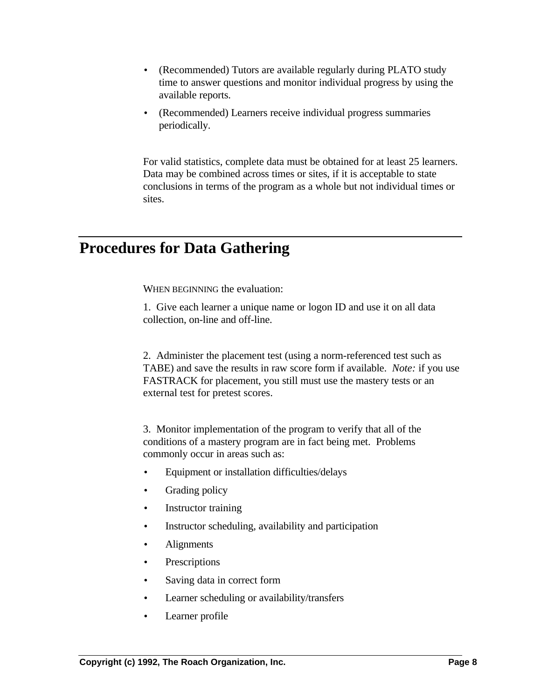- (Recommended) Tutors are available regularly during PLATO study time to answer questions and monitor individual progress by using the available reports.
- (Recommended) Learners receive individual progress summaries periodically.

For valid statistics, complete data must be obtained for at least 25 learners. Data may be combined across times or sites, if it is acceptable to state conclusions in terms of the program as a whole but not individual times or sites.

### **Procedures for Data Gathering**

WHEN BEGINNING the evaluation:

1. Give each learner a unique name or logon ID and use it on all data collection, on-line and off-line.

2. Administer the placement test (using a norm-referenced test such as TABE) and save the results in raw score form if available. *Note:* if you use FASTRACK for placement, you still must use the mastery tests or an external test for pretest scores.

3. Monitor implementation of the program to verify that all of the conditions of a mastery program are in fact being met. Problems commonly occur in areas such as:

- Equipment or installation difficulties/delays
- Grading policy
- Instructor training
- Instructor scheduling, availability and participation
- Alignments
- Prescriptions
- Saving data in correct form
- Learner scheduling or availability/transfers
- Learner profile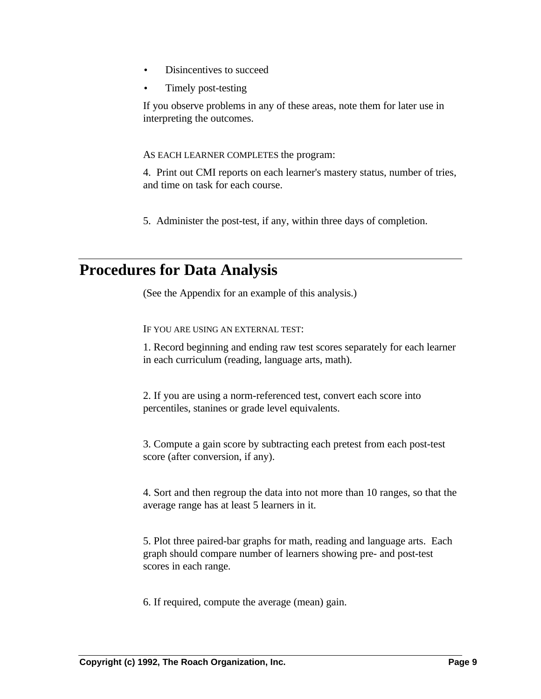- Disincentives to succeed
- Timely post-testing

If you observe problems in any of these areas, note them for later use in interpreting the outcomes.

#### AS EACH LEARNER COMPLETES the program:

4. Print out CMI reports on each learner's mastery status, number of tries, and time on task for each course.

5. Administer the post-test, if any, within three days of completion.

### **Procedures for Data Analysis**

(See the Appendix for an example of this analysis.)

IF YOU ARE USING AN EXTERNAL TEST:

1. Record beginning and ending raw test scores separately for each learner in each curriculum (reading, language arts, math).

2. If you are using a norm-referenced test, convert each score into percentiles, stanines or grade level equivalents.

3. Compute a gain score by subtracting each pretest from each post-test score (after conversion, if any).

4. Sort and then regroup the data into not more than 10 ranges, so that the average range has at least 5 learners in it.

5. Plot three paired-bar graphs for math, reading and language arts. Each graph should compare number of learners showing pre- and post-test scores in each range.

6. If required, compute the average (mean) gain.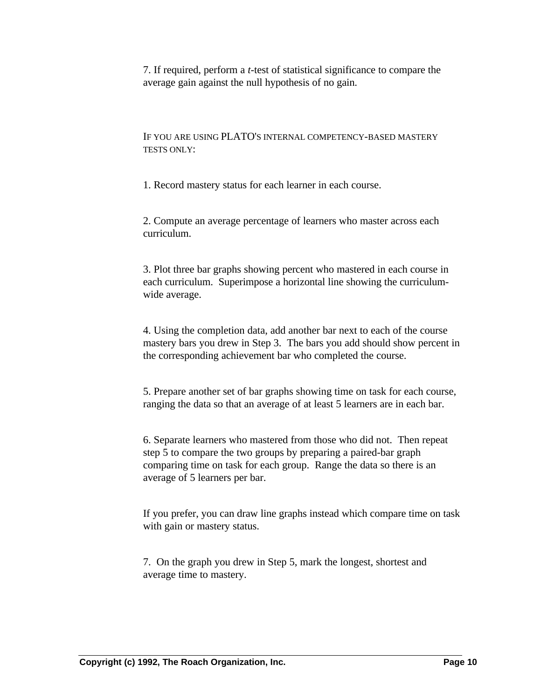7. If required, perform a *t*-test of statistical significance to compare the average gain against the null hypothesis of no gain.

IF YOU ARE USING PLATO'S INTERNAL COMPETENCY-BASED MASTERY TESTS ONLY:

1. Record mastery status for each learner in each course.

2. Compute an average percentage of learners who master across each curriculum.

3. Plot three bar graphs showing percent who mastered in each course in each curriculum. Superimpose a horizontal line showing the curriculumwide average.

4. Using the completion data, add another bar next to each of the course mastery bars you drew in Step 3. The bars you add should show percent in the corresponding achievement bar who completed the course.

5. Prepare another set of bar graphs showing time on task for each course, ranging the data so that an average of at least 5 learners are in each bar.

6. Separate learners who mastered from those who did not. Then repeat step 5 to compare the two groups by preparing a paired-bar graph comparing time on task for each group. Range the data so there is an average of 5 learners per bar.

If you prefer, you can draw line graphs instead which compare time on task with gain or mastery status.

7. On the graph you drew in Step 5, mark the longest, shortest and average time to mastery.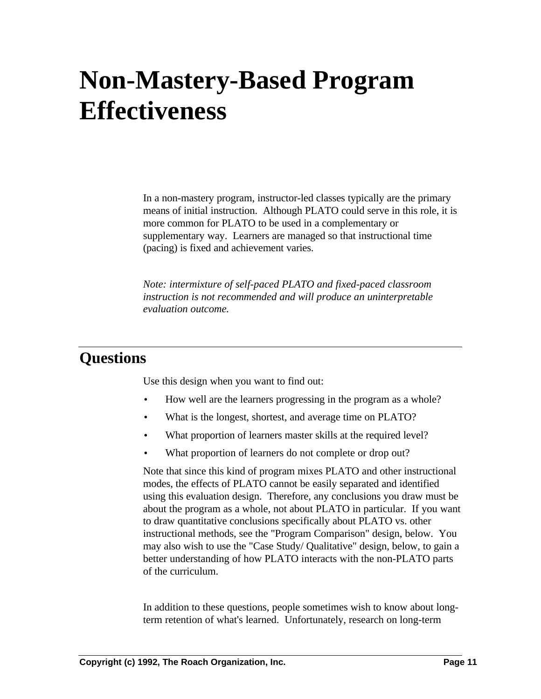## **Non-Mastery-Based Program Effectiveness**

In a non-mastery program, instructor-led classes typically are the primary means of initial instruction. Although PLATO could serve in this role, it is more common for PLATO to be used in a complementary or supplementary way. Learners are managed so that instructional time (pacing) is fixed and achievement varies.

*Note: intermixture of self-paced PLATO and fixed-paced classroom instruction is not recommended and will produce an uninterpretable evaluation outcome.*

#### **Questions**

Use this design when you want to find out:

- How well are the learners progressing in the program as a whole?
- What is the longest, shortest, and average time on PLATO?
- What proportion of learners master skills at the required level?
- What proportion of learners do not complete or drop out?

Note that since this kind of program mixes PLATO and other instructional modes, the effects of PLATO cannot be easily separated and identified using this evaluation design. Therefore, any conclusions you draw must be about the program as a whole, not about PLATO in particular. If you want to draw quantitative conclusions specifically about PLATO vs. other instructional methods, see the "Program Comparison" design, below. You may also wish to use the "Case Study/ Qualitative" design, below, to gain a better understanding of how PLATO interacts with the non-PLATO parts of the curriculum.

In addition to these questions, people sometimes wish to know about longterm retention of what's learned. Unfortunately, research on long-term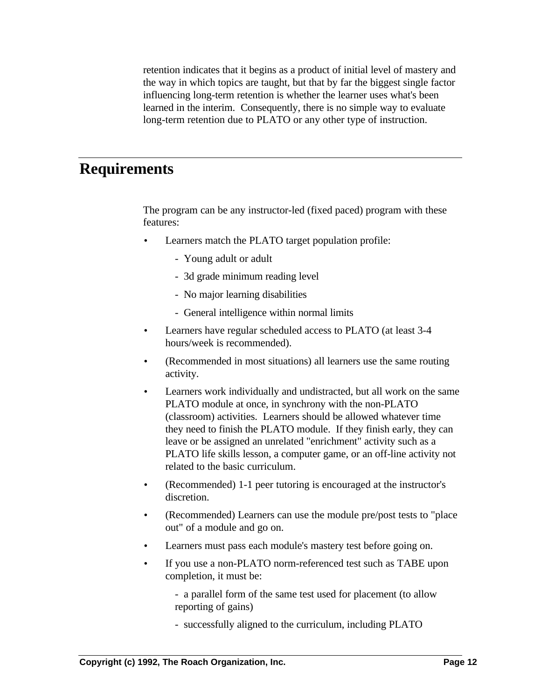retention indicates that it begins as a product of initial level of mastery and the way in which topics are taught, but that by far the biggest single factor influencing long-term retention is whether the learner uses what's been learned in the interim. Consequently, there is no simple way to evaluate long-term retention due to PLATO or any other type of instruction.

#### **Requirements**

The program can be any instructor-led (fixed paced) program with these features:

- Learners match the PLATO target population profile:
	- Young adult or adult
	- 3d grade minimum reading level
	- No major learning disabilities
	- General intelligence within normal limits
- Learners have regular scheduled access to PLATO (at least 3-4 hours/week is recommended).
- (Recommended in most situations) all learners use the same routing activity.
- Learners work individually and undistracted, but all work on the same PLATO module at once, in synchrony with the non-PLATO (classroom) activities. Learners should be allowed whatever time they need to finish the PLATO module. If they finish early, they can leave or be assigned an unrelated "enrichment" activity such as a PLATO life skills lesson, a computer game, or an off-line activity not related to the basic curriculum.
- (Recommended) 1-1 peer tutoring is encouraged at the instructor's discretion.
- (Recommended) Learners can use the module pre/post tests to "place out" of a module and go on.
- Learners must pass each module's mastery test before going on.
- If you use a non-PLATO norm-referenced test such as TABE upon completion, it must be:

- a parallel form of the same test used for placement (to allow reporting of gains)

- successfully aligned to the curriculum, including PLATO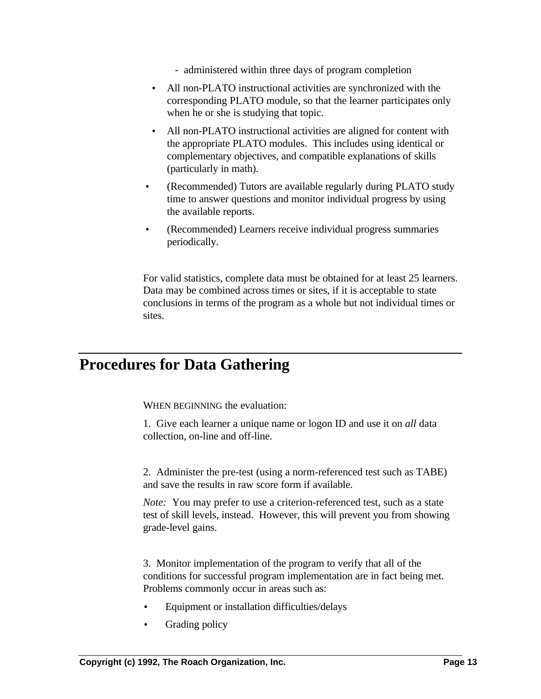- administered within three days of program completion
- All non-PLATO instructional activities are synchronized with the corresponding PLATO module, so that the learner participates only when he or she is studying that topic.
- All non-PLATO instructional activities are aligned for content with the appropriate PLATO modules. This includes using identical or complementary objectives, and compatible explanations of skills (particularly in math).
- (Recommended) Tutors are available regularly during PLATO study time to answer questions and monitor individual progress by using the available reports.
- (Recommended) Learners receive individual progress summaries periodically.

For valid statistics, complete data must be obtained for at least 25 learners. Data may be combined across times or sites, if it is acceptable to state conclusions in terms of the program as a whole but not individual times or sites.

### **Procedures for Data Gathering**

WHEN BEGINNING the evaluation:

1. Give each learner a unique name or logon ID and use it on *all* data collection, on-line and off-line.

2. Administer the pre-test (using a norm-referenced test such as TABE) and save the results in raw score form if available.

*Note*: You may prefer to use a criterion-referenced test, such as a state test of skill levels, instead. However, this will prevent you from showing grade-level gains.

3. Monitor implementation of the program to verify that all of the conditions for successful program implementation are in fact being met. Problems commonly occur in areas such as:

- Equipment or installation difficulties/delays
- Grading policy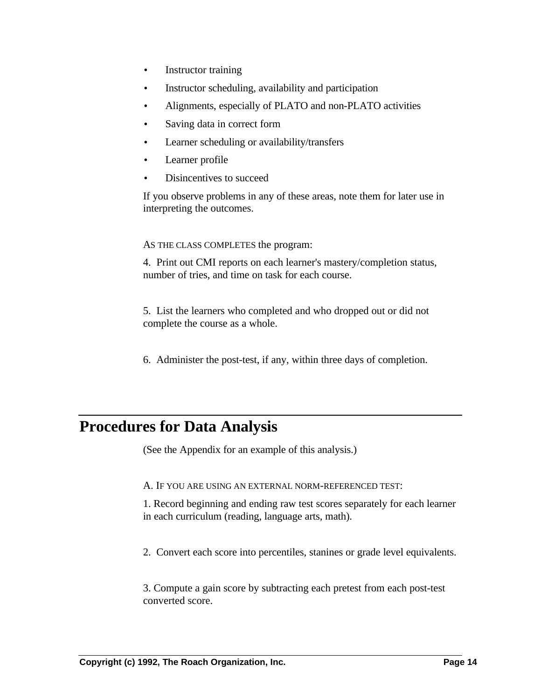- Instructor training
- Instructor scheduling, availability and participation
- Alignments, especially of PLATO and non-PLATO activities
- Saving data in correct form
- Learner scheduling or availability/transfers
- Learner profile
- Disincentives to succeed

If you observe problems in any of these areas, note them for later use in interpreting the outcomes.

#### AS THE CLASS COMPLETES the program:

4. Print out CMI reports on each learner's mastery/completion status, number of tries, and time on task for each course.

5. List the learners who completed and who dropped out or did not complete the course as a whole.

6. Administer the post-test, if any, within three days of completion.

### **Procedures for Data Analysis**

(See the Appendix for an example of this analysis.)

A. IF YOU ARE USING AN EXTERNAL NORM-REFERENCED TEST:

1. Record beginning and ending raw test scores separately for each learner in each curriculum (reading, language arts, math).

2. Convert each score into percentiles, stanines or grade level equivalents.

3. Compute a gain score by subtracting each pretest from each post-test converted score.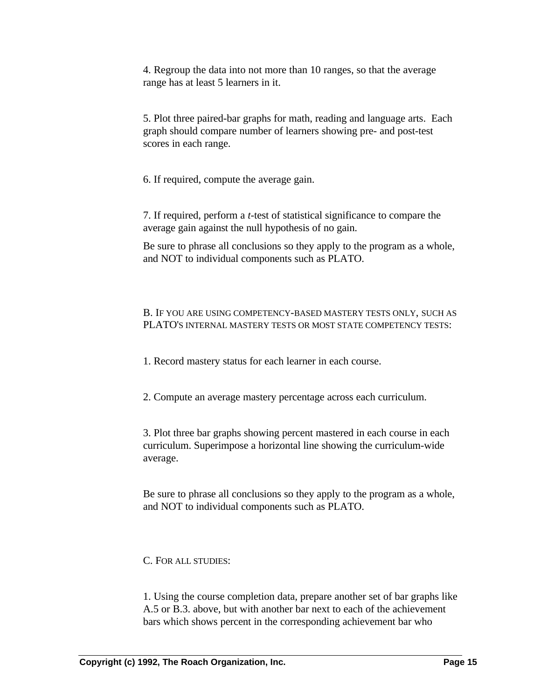4. Regroup the data into not more than 10 ranges, so that the average range has at least 5 learners in it.

5. Plot three paired-bar graphs for math, reading and language arts. Each graph should compare number of learners showing pre- and post-test scores in each range.

6. If required, compute the average gain.

7. If required, perform a *t*-test of statistical significance to compare the average gain against the null hypothesis of no gain.

Be sure to phrase all conclusions so they apply to the program as a whole, and NOT to individual components such as PLATO.

#### B. IF YOU ARE USING COMPETENCY-BASED MASTERY TESTS ONLY, SUCH AS PLATO'S INTERNAL MASTERY TESTS OR MOST STATE COMPETENCY TESTS:

1. Record mastery status for each learner in each course.

2. Compute an average mastery percentage across each curriculum.

3. Plot three bar graphs showing percent mastered in each course in each curriculum. Superimpose a horizontal line showing the curriculum-wide average.

Be sure to phrase all conclusions so they apply to the program as a whole, and NOT to individual components such as PLATO.

C. FOR ALL STUDIES:

1. Using the course completion data, prepare another set of bar graphs like A.5 or B.3. above, but with another bar next to each of the achievement bars which shows percent in the corresponding achievement bar who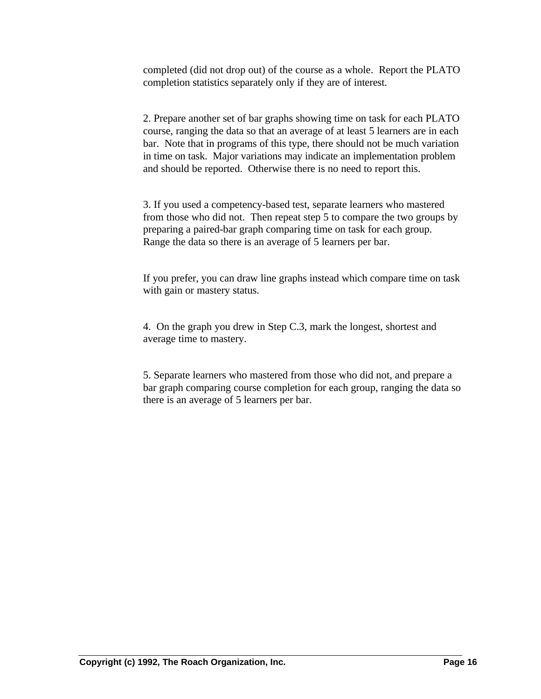completed (did not drop out) of the course as a whole. Report the PLATO completion statistics separately only if they are of interest.

2. Prepare another set of bar graphs showing time on task for each PLATO course, ranging the data so that an average of at least 5 learners are in each bar. Note that in programs of this type, there should not be much variation in time on task. Major variations may indicate an implementation problem and should be reported. Otherwise there is no need to report this.

3. If you used a competency-based test, separate learners who mastered from those who did not. Then repeat step 5 to compare the two groups by preparing a paired-bar graph comparing time on task for each group. Range the data so there is an average of 5 learners per bar.

If you prefer, you can draw line graphs instead which compare time on task with gain or mastery status.

4. On the graph you drew in Step C.3, mark the longest, shortest and average time to mastery.

5. Separate learners who mastered from those who did not, and prepare a bar graph comparing course completion for each group, ranging the data so there is an average of 5 learners per bar.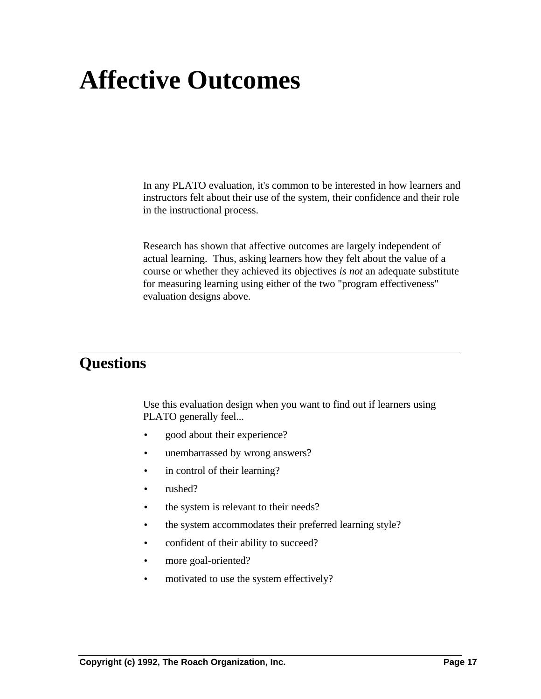## **Affective Outcomes**

In any PLATO evaluation, it's common to be interested in how learners and instructors felt about their use of the system, their confidence and their role in the instructional process.

Research has shown that affective outcomes are largely independent of actual learning. Thus, asking learners how they felt about the value of a course or whether they achieved its objectives *is not* an adequate substitute for measuring learning using either of the two "program effectiveness" evaluation designs above.

### **Questions**

Use this evaluation design when you want to find out if learners using PLATO generally feel...

- good about their experience?
- unembarrassed by wrong answers?
- in control of their learning?
- rushed?
- the system is relevant to their needs?
- the system accommodates their preferred learning style?
- confident of their ability to succeed?
- more goal-oriented?
- motivated to use the system effectively?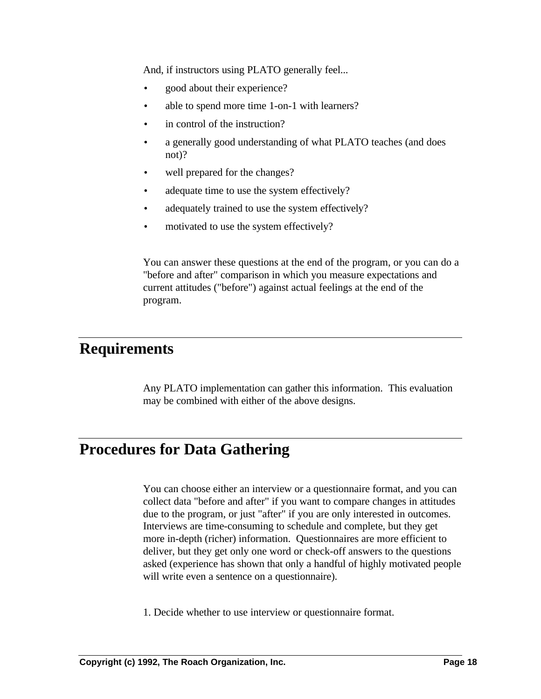And, if instructors using PLATO generally feel...

- good about their experience?
- able to spend more time 1-on-1 with learners?
- in control of the instruction?
- a generally good understanding of what PLATO teaches (and does not)?
- well prepared for the changes?
- adequate time to use the system effectively?
- adequately trained to use the system effectively?
- motivated to use the system effectively?

You can answer these questions at the end of the program, or you can do a "before and after" comparison in which you measure expectations and current attitudes ("before") against actual feelings at the end of the program.

### **Requirements**

Any PLATO implementation can gather this information. This evaluation may be combined with either of the above designs.

### **Procedures for Data Gathering**

You can choose either an interview or a questionnaire format, and you can collect data "before and after" if you want to compare changes in attitudes due to the program, or just "after" if you are only interested in outcomes. Interviews are time-consuming to schedule and complete, but they get more in-depth (richer) information. Questionnaires are more efficient to deliver, but they get only one word or check-off answers to the questions asked (experience has shown that only a handful of highly motivated people will write even a sentence on a questionnaire).

1. Decide whether to use interview or questionnaire format.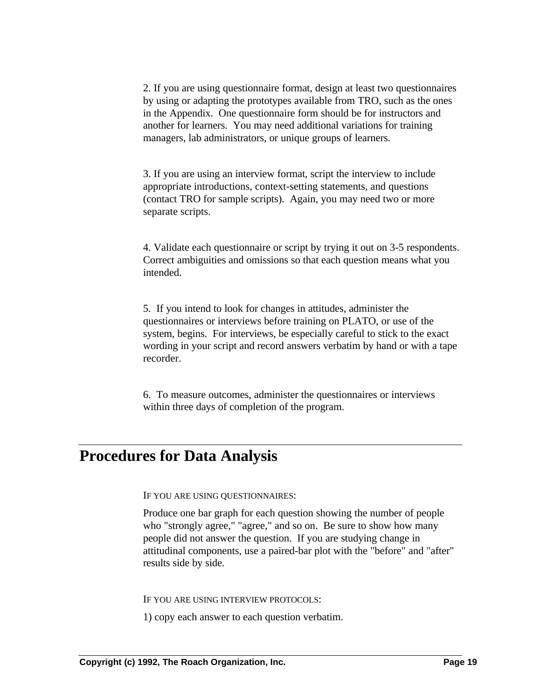2. If you are using questionnaire format, design at least two questionnaires by using or adapting the prototypes available from TRO, such as the ones in the Appendix. One questionnaire form should be for instructors and another for learners. You may need additional variations for training managers, lab administrators, or unique groups of learners.

3. If you are using an interview format, script the interview to include appropriate introductions, context-setting statements, and questions (contact TRO for sample scripts). Again, you may need two or more separate scripts.

4. Validate each questionnaire or script by trying it out on 3-5 respondents. Correct ambiguities and omissions so that each question means what you intended.

5. If you intend to look for changes in attitudes, administer the questionnaires or interviews before training on PLATO, or use of the system, begins. For interviews, be especially careful to stick to the exact wording in your script and record answers verbatim by hand or with a tape recorder.

6. To measure outcomes, administer the questionnaires or interviews within three days of completion of the program.

### **Procedures for Data Analysis**

IF YOU ARE USING QUESTIONNAIRES:

Produce one bar graph for each question showing the number of people who "strongly agree," "agree," and so on. Be sure to show how many people did not answer the question. If you are studying change in attitudinal components, use a paired-bar plot with the "before" and "after" results side by side.

IF YOU ARE USING INTERVIEW PROTOCOLS:

1) copy each answer to each question verbatim.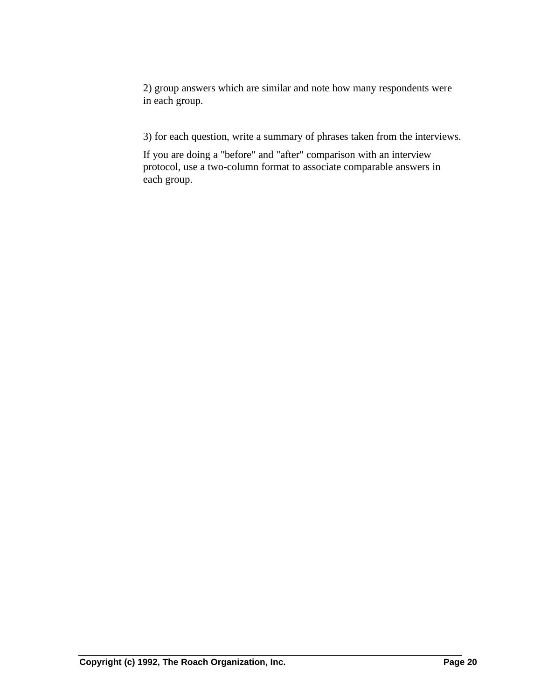2) group answers which are similar and note how many respondents were in each group.

3) for each question, write a summary of phrases taken from the interviews.

If you are doing a "before" and "after" comparison with an interview protocol, use a two-column format to associate comparable answers in each group.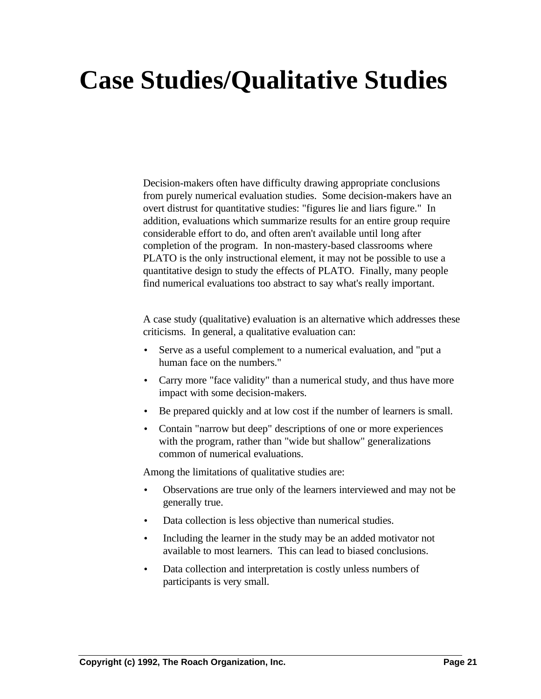# **Case Studies/Qualitative Studies**

Decision-makers often have difficulty drawing appropriate conclusions from purely numerical evaluation studies. Some decision-makers have an overt distrust for quantitative studies: "figures lie and liars figure." In addition, evaluations which summarize results for an entire group require considerable effort to do, and often aren't available until long after completion of the program. In non-mastery-based classrooms where PLATO is the only instructional element, it may not be possible to use a quantitative design to study the effects of PLATO. Finally, many people find numerical evaluations too abstract to say what's really important.

A case study (qualitative) evaluation is an alternative which addresses these criticisms. In general, a qualitative evaluation can:

- Serve as a useful complement to a numerical evaluation, and "put a human face on the numbers."
- Carry more "face validity" than a numerical study, and thus have more impact with some decision-makers.
- Be prepared quickly and at low cost if the number of learners is small.
- Contain "narrow but deep" descriptions of one or more experiences with the program, rather than "wide but shallow" generalizations common of numerical evaluations.

Among the limitations of qualitative studies are:

- Observations are true only of the learners interviewed and may not be generally true.
- Data collection is less objective than numerical studies.
- Including the learner in the study may be an added motivator not available to most learners. This can lead to biased conclusions.
- Data collection and interpretation is costly unless numbers of participants is very small.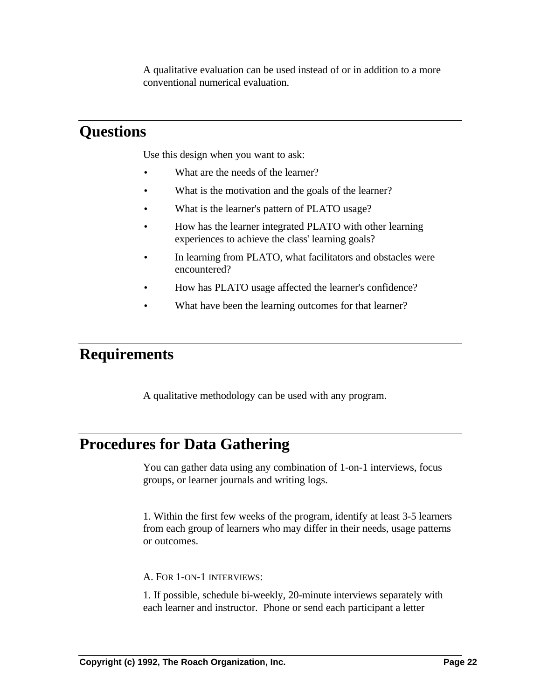A qualitative evaluation can be used instead of or in addition to a more conventional numerical evaluation.

### **Questions**

Use this design when you want to ask:

- What are the needs of the learner?
- What is the motivation and the goals of the learner?
- What is the learner's pattern of PLATO usage?
- How has the learner integrated PLATO with other learning experiences to achieve the class' learning goals?
- In learning from PLATO, what facilitators and obstacles were encountered?
- How has PLATO usage affected the learner's confidence?
- What have been the learning outcomes for that learner?

### **Requirements**

A qualitative methodology can be used with any program.

### **Procedures for Data Gathering**

You can gather data using any combination of 1-on-1 interviews, focus groups, or learner journals and writing logs.

1. Within the first few weeks of the program, identify at least 3-5 learners from each group of learners who may differ in their needs, usage patterns or outcomes.

A. FOR 1-ON-1 INTERVIEWS:

1. If possible, schedule bi-weekly, 20-minute interviews separately with each learner and instructor. Phone or send each participant a letter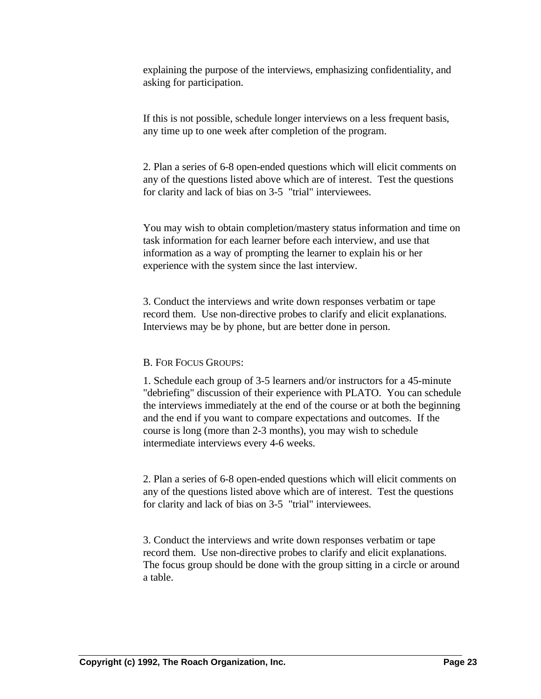explaining the purpose of the interviews, emphasizing confidentiality, and asking for participation.

If this is not possible, schedule longer interviews on a less frequent basis, any time up to one week after completion of the program.

2. Plan a series of 6-8 open-ended questions which will elicit comments on any of the questions listed above which are of interest. Test the questions for clarity and lack of bias on 3-5 "trial" interviewees.

You may wish to obtain completion/mastery status information and time on task information for each learner before each interview, and use that information as a way of prompting the learner to explain his or her experience with the system since the last interview.

3. Conduct the interviews and write down responses verbatim or tape record them. Use non-directive probes to clarify and elicit explanations. Interviews may be by phone, but are better done in person.

#### B. FOR FOCUS GROUPS:

1. Schedule each group of 3-5 learners and/or instructors for a 45-minute "debriefing" discussion of their experience with PLATO. You can schedule the interviews immediately at the end of the course or at both the beginning and the end if you want to compare expectations and outcomes. If the course is long (more than 2-3 months), you may wish to schedule intermediate interviews every 4-6 weeks.

2. Plan a series of 6-8 open-ended questions which will elicit comments on any of the questions listed above which are of interest. Test the questions for clarity and lack of bias on 3-5 "trial" interviewees.

3. Conduct the interviews and write down responses verbatim or tape record them. Use non-directive probes to clarify and elicit explanations. The focus group should be done with the group sitting in a circle or around a table.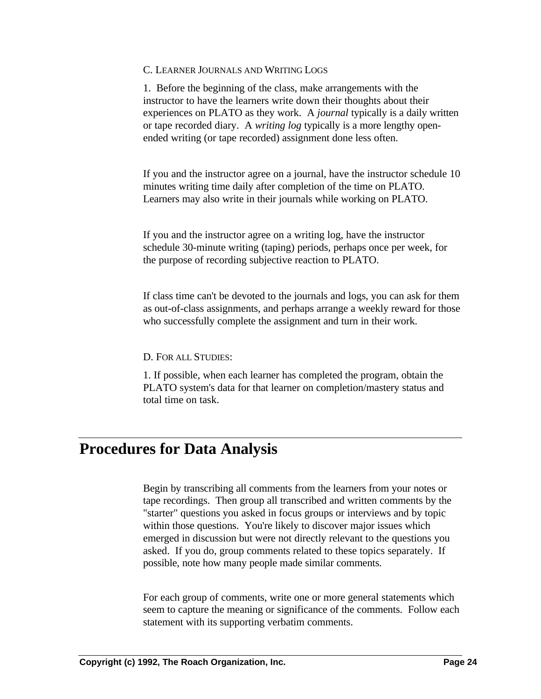#### C. LEARNER JOURNALS AND WRITING LOGS

1. Before the beginning of the class, make arrangements with the instructor to have the learners write down their thoughts about their experiences on PLATO as they work. A *journal* typically is a daily written or tape recorded diary. A *writing log* typically is a more lengthy openended writing (or tape recorded) assignment done less often.

If you and the instructor agree on a journal, have the instructor schedule 10 minutes writing time daily after completion of the time on PLATO. Learners may also write in their journals while working on PLATO.

If you and the instructor agree on a writing log, have the instructor schedule 30-minute writing (taping) periods, perhaps once per week, for the purpose of recording subjective reaction to PLATO.

If class time can't be devoted to the journals and logs, you can ask for them as out-of-class assignments, and perhaps arrange a weekly reward for those who successfully complete the assignment and turn in their work.

D. FOR ALL STUDIES:

1. If possible, when each learner has completed the program, obtain the PLATO system's data for that learner on completion/mastery status and total time on task.

### **Procedures for Data Analysis**

Begin by transcribing all comments from the learners from your notes or tape recordings. Then group all transcribed and written comments by the "starter" questions you asked in focus groups or interviews and by topic within those questions. You're likely to discover major issues which emerged in discussion but were not directly relevant to the questions you asked. If you do, group comments related to these topics separately. If possible, note how many people made similar comments.

For each group of comments, write one or more general statements which seem to capture the meaning or significance of the comments. Follow each statement with its supporting verbatim comments.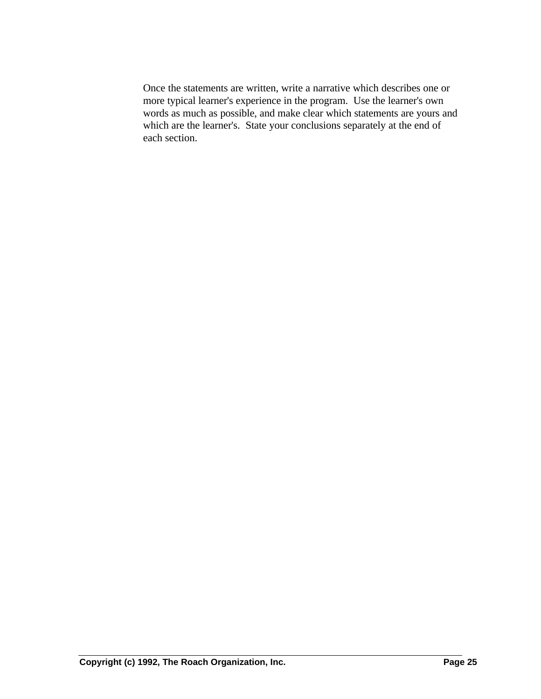Once the statements are written, write a narrative which describes one or more typical learner's experience in the program. Use the learner's own words as much as possible, and make clear which statements are yours and which are the learner's. State your conclusions separately at the end of each section.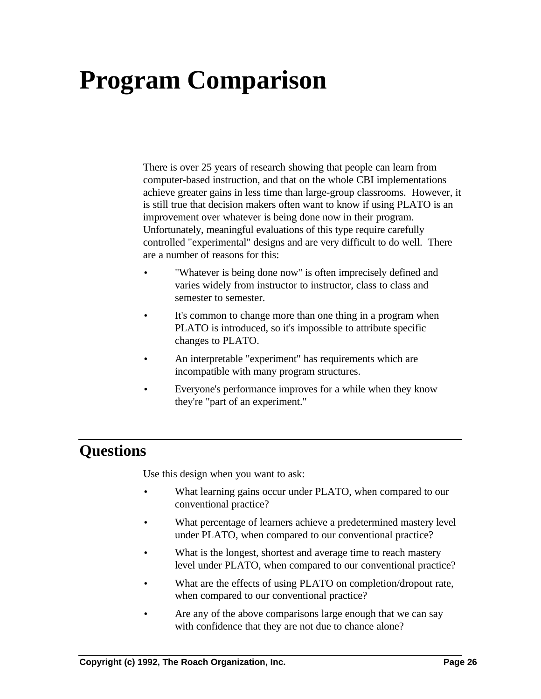# **Program Comparison**

There is over 25 years of research showing that people can learn from computer-based instruction, and that on the whole CBI implementations achieve greater gains in less time than large-group classrooms. However, it is still true that decision makers often want to know if using PLATO is an improvement over whatever is being done now in their program. Unfortunately, meaningful evaluations of this type require carefully controlled "experimental" designs and are very difficult to do well. There are a number of reasons for this:

- "Whatever is being done now" is often imprecisely defined and varies widely from instructor to instructor, class to class and semester to semester.
- It's common to change more than one thing in a program when PLATO is introduced, so it's impossible to attribute specific changes to PLATO.
- An interpretable "experiment" has requirements which are incompatible with many program structures.
- Everyone's performance improves for a while when they know they're "part of an experiment."

### **Questions**

Use this design when you want to ask:

- What learning gains occur under PLATO, when compared to our conventional practice?
- What percentage of learners achieve a predetermined mastery level under PLATO, when compared to our conventional practice?
- What is the longest, shortest and average time to reach mastery level under PLATO, when compared to our conventional practice?
- What are the effects of using PLATO on completion/dropout rate, when compared to our conventional practice?
- Are any of the above comparisons large enough that we can say with confidence that they are not due to chance alone?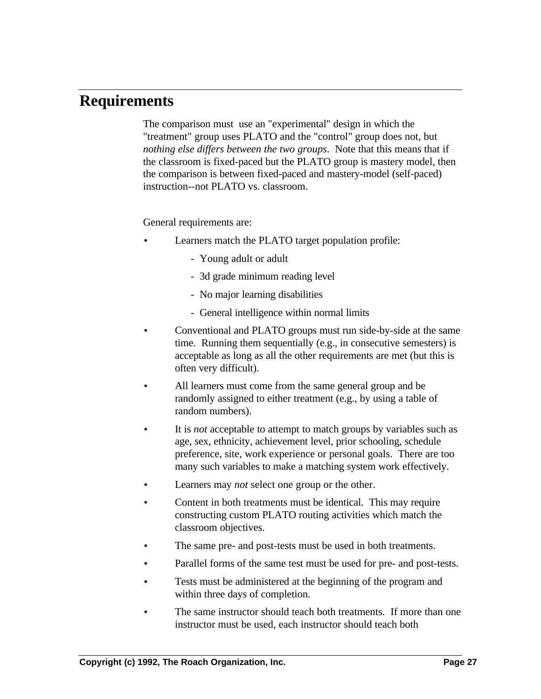### **Requirements**

The comparison must use an "experimental" design in which the "treatment" group uses PLATO and the "control" group does not, but *nothing else differs between the two groups*. Note that this means that if the classroom is fixed-paced but the PLATO group is mastery model, then the comparison is between fixed-paced and mastery-model (self-paced) instruction--not PLATO vs. classroom.

General requirements are:

- Learners match the PLATO target population profile:
	- Young adult or adult
	- 3d grade minimum reading level
	- No major learning disabilities
	- General intelligence within normal limits
- Conventional and PLATO groups must run side-by-side at the same time. Running them sequentially (e.g., in consecutive semesters) is acceptable as long as all the other requirements are met (but this is often very difficult).
- All learners must come from the same general group and be randomly assigned to either treatment (e.g., by using a table of random numbers).
- It is *not* acceptable to attempt to match groups by variables such as age, sex, ethnicity, achievement level, prior schooling, schedule preference, site, work experience or personal goals. There are too many such variables to make a matching system work effectively.
- Learners may *not* select one group or the other.
- Content in both treatments must be identical. This may require constructing custom PLATO routing activities which match the classroom objectives.
- The same pre- and post-tests must be used in both treatments.
- Parallel forms of the same test must be used for pre- and post-tests.
- Tests must be administered at the beginning of the program and within three days of completion.
- The same instructor should teach both treatments. If more than one instructor must be used, each instructor should teach both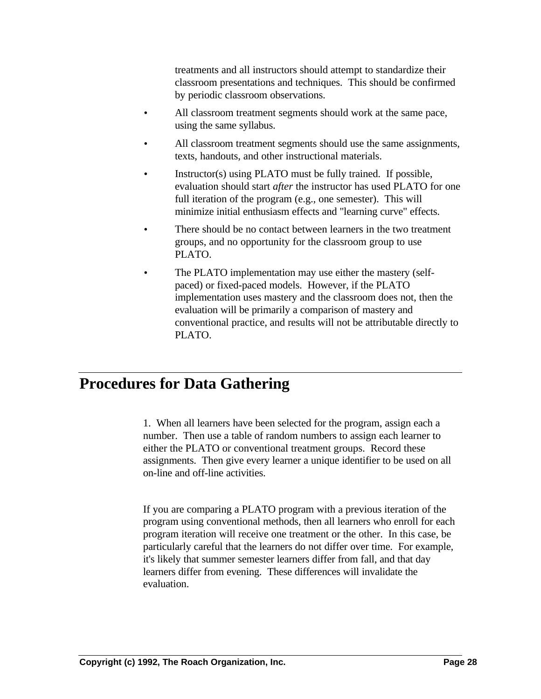treatments and all instructors should attempt to standardize their classroom presentations and techniques. This should be confirmed by periodic classroom observations.

- All classroom treatment segments should work at the same pace, using the same syllabus.
- All classroom treatment segments should use the same assignments, texts, handouts, and other instructional materials.
- Instructor(s) using PLATO must be fully trained. If possible, evaluation should start *after* the instructor has used PLATO for one full iteration of the program (e.g., one semester). This will minimize initial enthusiasm effects and "learning curve" effects.
- There should be no contact between learners in the two treatment groups, and no opportunity for the classroom group to use PLATO.
- The PLATO implementation may use either the mastery (selfpaced) or fixed-paced models. However, if the PLATO implementation uses mastery and the classroom does not, then the evaluation will be primarily a comparison of mastery and conventional practice, and results will not be attributable directly to PLATO.

### **Procedures for Data Gathering**

1. When all learners have been selected for the program, assign each a number. Then use a table of random numbers to assign each learner to either the PLATO or conventional treatment groups. Record these assignments. Then give every learner a unique identifier to be used on all on-line and off-line activities.

If you are comparing a PLATO program with a previous iteration of the program using conventional methods, then all learners who enroll for each program iteration will receive one treatment or the other. In this case, be particularly careful that the learners do not differ over time. For example, it's likely that summer semester learners differ from fall, and that day learners differ from evening. These differences will invalidate the evaluation.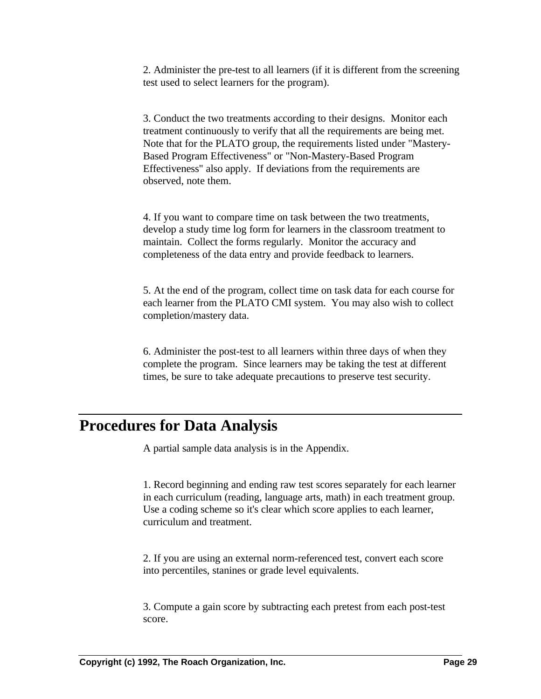2. Administer the pre-test to all learners (if it is different from the screening test used to select learners for the program).

3. Conduct the two treatments according to their designs. Monitor each treatment continuously to verify that all the requirements are being met. Note that for the PLATO group, the requirements listed under "Mastery-Based Program Effectiveness" or "Non-Mastery-Based Program Effectiveness" also apply. If deviations from the requirements are observed, note them.

4. If you want to compare time on task between the two treatments, develop a study time log form for learners in the classroom treatment to maintain. Collect the forms regularly. Monitor the accuracy and completeness of the data entry and provide feedback to learners.

5. At the end of the program, collect time on task data for each course for each learner from the PLATO CMI system. You may also wish to collect completion/mastery data.

6. Administer the post-test to all learners within three days of when they complete the program. Since learners may be taking the test at different times, be sure to take adequate precautions to preserve test security.

### **Procedures for Data Analysis**

A partial sample data analysis is in the Appendix.

1. Record beginning and ending raw test scores separately for each learner in each curriculum (reading, language arts, math) in each treatment group. Use a coding scheme so it's clear which score applies to each learner, curriculum and treatment.

2. If you are using an external norm-referenced test, convert each score into percentiles, stanines or grade level equivalents.

3. Compute a gain score by subtracting each pretest from each post-test score.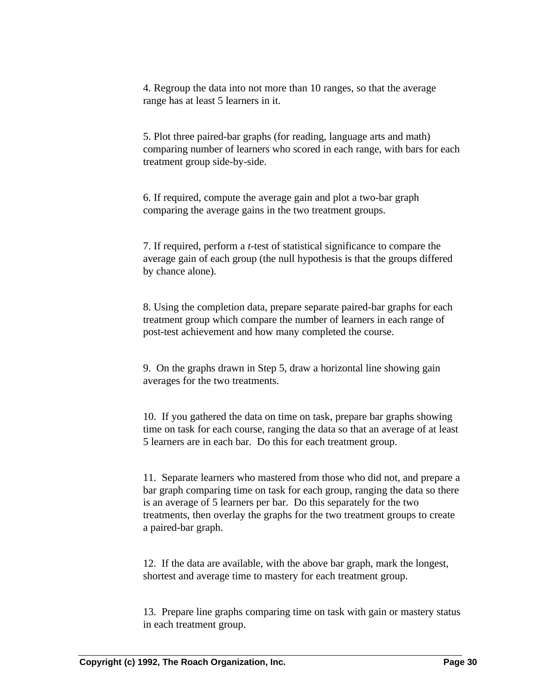4. Regroup the data into not more than 10 ranges, so that the average range has at least 5 learners in it.

5. Plot three paired-bar graphs (for reading, language arts and math) comparing number of learners who scored in each range, with bars for each treatment group side-by-side.

6. If required, compute the average gain and plot a two-bar graph comparing the average gains in the two treatment groups.

7. If required, perform a *t*-test of statistical significance to compare the average gain of each group (the null hypothesis is that the groups differed by chance alone).

8. Using the completion data, prepare separate paired-bar graphs for each treatment group which compare the number of learners in each range of post-test achievement and how many completed the course.

9. On the graphs drawn in Step 5, draw a horizontal line showing gain averages for the two treatments.

10. If you gathered the data on time on task, prepare bar graphs showing time on task for each course, ranging the data so that an average of at least 5 learners are in each bar. Do this for each treatment group.

11. Separate learners who mastered from those who did not, and prepare a bar graph comparing time on task for each group, ranging the data so there is an average of 5 learners per bar. Do this separately for the two treatments, then overlay the graphs for the two treatment groups to create a paired-bar graph.

12. If the data are available, with the above bar graph, mark the longest, shortest and average time to mastery for each treatment group.

13. Prepare line graphs comparing time on task with gain or mastery status in each treatment group.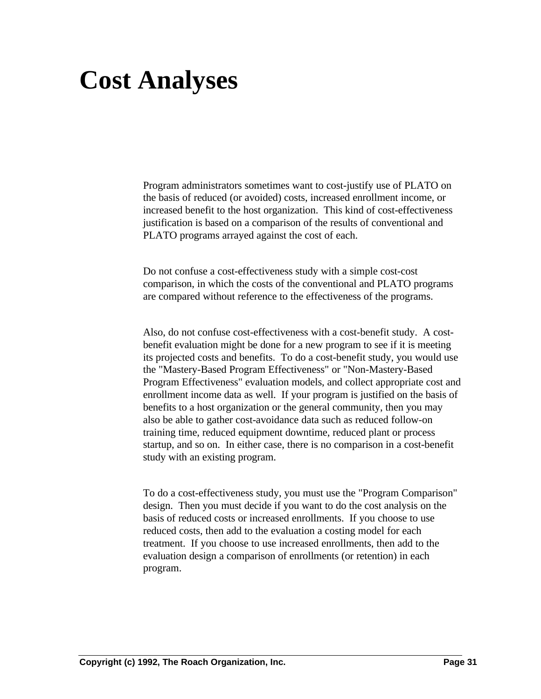# **Cost Analyses**

Program administrators sometimes want to cost-justify use of PLATO on the basis of reduced (or avoided) costs, increased enrollment income, or increased benefit to the host organization. This kind of cost-effectiveness justification is based on a comparison of the results of conventional and PLATO programs arrayed against the cost of each.

Do not confuse a cost-effectiveness study with a simple cost-cost comparison, in which the costs of the conventional and PLATO programs are compared without reference to the effectiveness of the programs.

Also, do not confuse cost-effectiveness with a cost-benefit study. A costbenefit evaluation might be done for a new program to see if it is meeting its projected costs and benefits. To do a cost-benefit study, you would use the "Mastery-Based Program Effectiveness" or "Non-Mastery-Based Program Effectiveness" evaluation models, and collect appropriate cost and enrollment income data as well. If your program is justified on the basis of benefits to a host organization or the general community, then you may also be able to gather cost-avoidance data such as reduced follow-on training time, reduced equipment downtime, reduced plant or process startup, and so on. In either case, there is no comparison in a cost-benefit study with an existing program.

To do a cost-effectiveness study, you must use the "Program Comparison" design. Then you must decide if you want to do the cost analysis on the basis of reduced costs or increased enrollments. If you choose to use reduced costs, then add to the evaluation a costing model for each treatment. If you choose to use increased enrollments, then add to the evaluation design a comparison of enrollments (or retention) in each program.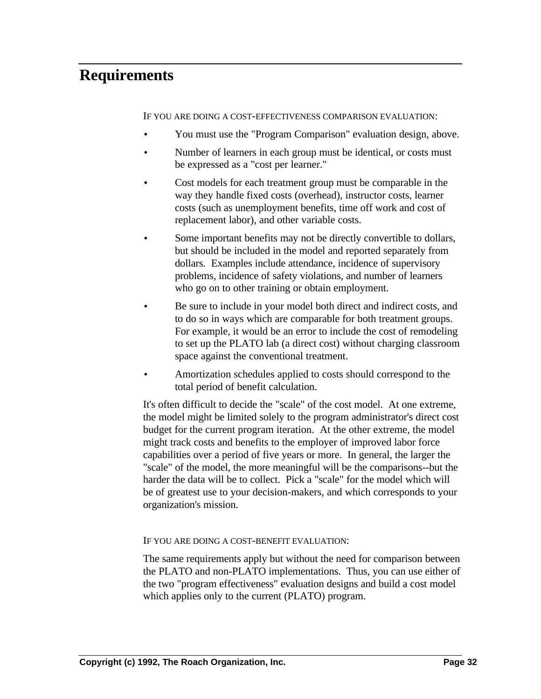### **Requirements**

IF YOU ARE DOING A COST-EFFECTIVENESS COMPARISON EVALUATION:

- You must use the "Program Comparison" evaluation design, above.
- Number of learners in each group must be identical, or costs must be expressed as a "cost per learner."
- Cost models for each treatment group must be comparable in the way they handle fixed costs (overhead), instructor costs, learner costs (such as unemployment benefits, time off work and cost of replacement labor), and other variable costs.
- Some important benefits may not be directly convertible to dollars, but should be included in the model and reported separately from dollars. Examples include attendance, incidence of supervisory problems, incidence of safety violations, and number of learners who go on to other training or obtain employment.
- Be sure to include in your model both direct and indirect costs, and to do so in ways which are comparable for both treatment groups. For example, it would be an error to include the cost of remodeling to set up the PLATO lab (a direct cost) without charging classroom space against the conventional treatment.
- Amortization schedules applied to costs should correspond to the total period of benefit calculation.

It's often difficult to decide the "scale" of the cost model. At one extreme, the model might be limited solely to the program administrator's direct cost budget for the current program iteration. At the other extreme, the model might track costs and benefits to the employer of improved labor force capabilities over a period of five years or more. In general, the larger the "scale" of the model, the more meaningful will be the comparisons--but the harder the data will be to collect. Pick a "scale" for the model which will be of greatest use to your decision-makers, and which corresponds to your organization's mission.

#### IF YOU ARE DOING A COST-BENEFIT EVALUATION:

The same requirements apply but without the need for comparison between the PLATO and non-PLATO implementations. Thus, you can use either of the two "program effectiveness" evaluation designs and build a cost model which applies only to the current (PLATO) program.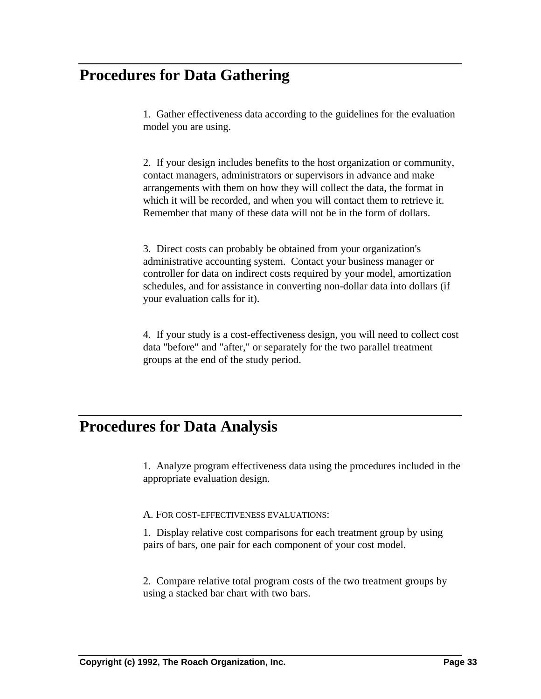### **Procedures for Data Gathering**

1. Gather effectiveness data according to the guidelines for the evaluation model you are using.

2. If your design includes benefits to the host organization or community, contact managers, administrators or supervisors in advance and make arrangements with them on how they will collect the data, the format in which it will be recorded, and when you will contact them to retrieve it. Remember that many of these data will not be in the form of dollars.

3. Direct costs can probably be obtained from your organization's administrative accounting system. Contact your business manager or controller for data on indirect costs required by your model, amortization schedules, and for assistance in converting non-dollar data into dollars (if your evaluation calls for it).

4. If your study is a cost-effectiveness design, you will need to collect cost data "before" and "after," or separately for the two parallel treatment groups at the end of the study period.

### **Procedures for Data Analysis**

1. Analyze program effectiveness data using the procedures included in the appropriate evaluation design.

A. FOR COST-EFFECTIVENESS EVALUATIONS:

1. Display relative cost comparisons for each treatment group by using pairs of bars, one pair for each component of your cost model.

2. Compare relative total program costs of the two treatment groups by using a stacked bar chart with two bars.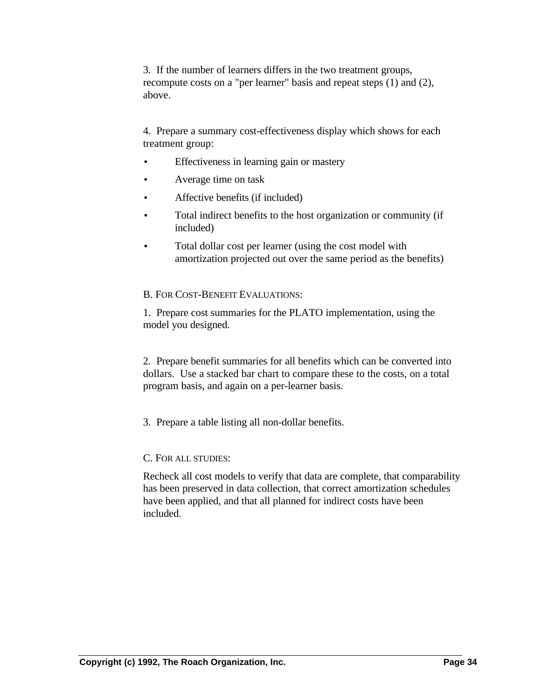3. If the number of learners differs in the two treatment groups, recompute costs on a "per learner" basis and repeat steps (1) and (2), above.

4. Prepare a summary cost-effectiveness display which shows for each treatment group:

- Effectiveness in learning gain or mastery
- Average time on task
- Affective benefits (if included)
- Total indirect benefits to the host organization or community (if included)
- Total dollar cost per learner (using the cost model with amortization projected out over the same period as the benefits)

#### B. FOR COST-BENEFIT EVALUATIONS:

1. Prepare cost summaries for the PLATO implementation, using the model you designed.

2. Prepare benefit summaries for all benefits which can be converted into dollars. Use a stacked bar chart to compare these to the costs, on a total program basis, and again on a per-learner basis.

3. Prepare a table listing all non-dollar benefits.

#### C. FOR ALL STUDIES:

Recheck all cost models to verify that data are complete, that comparability has been preserved in data collection, that correct amortization schedules have been applied, and that all planned for indirect costs have been included.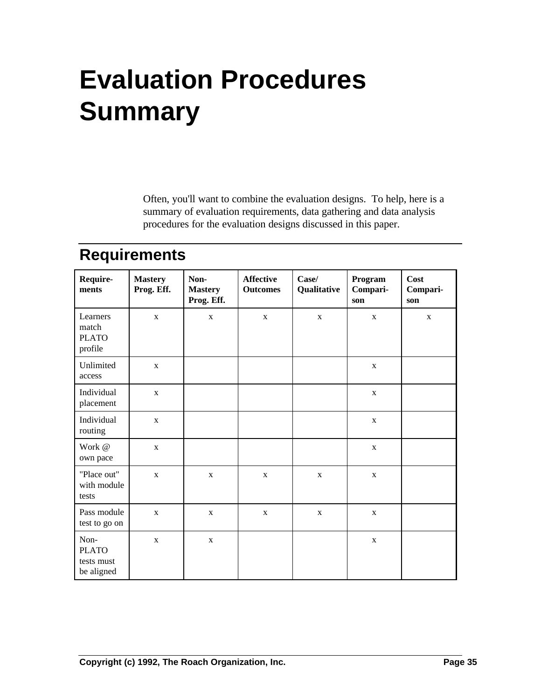# **Evaluation Procedures Summary**

Often, you'll want to combine the evaluation designs. To help, here is a summary of evaluation requirements, data gathering and data analysis procedures for the evaluation designs discussed in this paper.

### **Requirements**

| Require-<br>ments                                | <b>Mastery</b><br>Prog. Eff. | Non-<br><b>Mastery</b><br>Prog. Eff. | <b>Affective</b><br><b>Outcomes</b> | Case/<br>Qualitative | Program<br>Compari-<br>son | Cost<br>Compari-<br>son |
|--------------------------------------------------|------------------------------|--------------------------------------|-------------------------------------|----------------------|----------------------------|-------------------------|
| Learners<br>match<br><b>PLATO</b><br>profile     | $\mathbf X$                  | $\mathbf X$                          | $\mathbf{X}$                        | $\mathbf X$          | $\mathbf X$                | $\mathbf X$             |
| Unlimited<br>access                              | $\mathbf{X}$                 |                                      |                                     |                      | $\mathbf{X}$               |                         |
| Individual<br>placement                          | $\mathbf X$                  |                                      |                                     |                      | $\mathbf X$                |                         |
| Individual<br>routing                            | $\mathbf{X}$                 |                                      |                                     |                      | $\mathbf{X}$               |                         |
| Work @<br>own pace                               | $\mathbf X$                  |                                      |                                     |                      | $\mathbf X$                |                         |
| "Place out"<br>with module<br>tests              | $\mathbf X$                  | $\mathbf X$                          | $\mathbf X$                         | $\mathbf X$          | $\mathbf X$                |                         |
| Pass module<br>test to go on                     | $\mathbf X$                  | $\mathbf X$                          | $\mathbf{X}$                        | $\mathbf X$          | $\mathbf X$                |                         |
| Non-<br><b>PLATO</b><br>tests must<br>be aligned | $\mathbf X$                  | $\mathbf X$                          |                                     |                      | X                          |                         |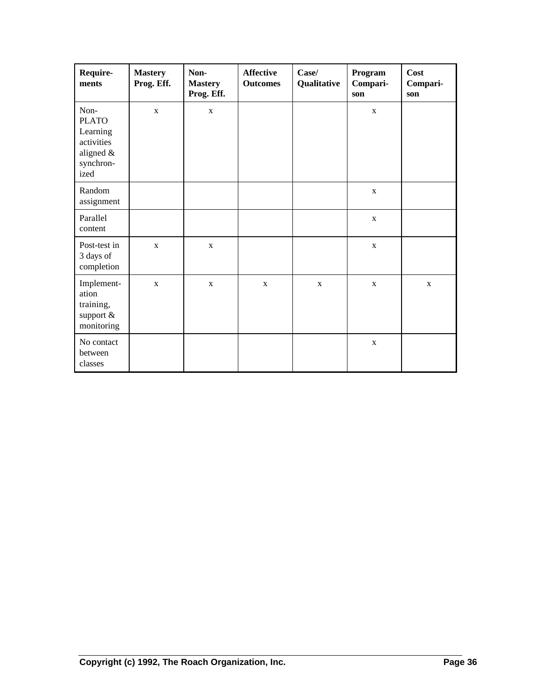| Require-<br>ments                                                                | <b>Mastery</b><br>Prog. Eff. | Non-<br><b>Mastery</b><br>Prog. Eff. | <b>Affective</b><br><b>Outcomes</b> | Case/<br>Qualitative | Program<br>Compari-<br>son | Cost<br>Compari-<br>son |
|----------------------------------------------------------------------------------|------------------------------|--------------------------------------|-------------------------------------|----------------------|----------------------------|-------------------------|
| Non-<br><b>PLATO</b><br>Learning<br>activities<br>aligned &<br>synchron-<br>ized | $\mathbf{X}$                 | $\mathbf X$                          |                                     |                      | $\mathbf{X}$               |                         |
| Random<br>assignment                                                             |                              |                                      |                                     |                      | $\mathbf X$                |                         |
| Parallel<br>content                                                              |                              |                                      |                                     |                      | $\mathbf X$                |                         |
| Post-test in<br>3 days of<br>completion                                          | $\mathbf X$                  | $\mathbf{X}$                         |                                     |                      | $\mathbf X$                |                         |
| Implement-<br>ation<br>training,<br>support $&$<br>monitoring                    | $\mathbf X$                  | $\mathbf X$                          | $\mathbf X$                         | $\mathbf X$          | $\mathbf X$                | $\mathbf X$             |
| No contact<br>between<br>classes                                                 |                              |                                      |                                     |                      | $\mathbf X$                |                         |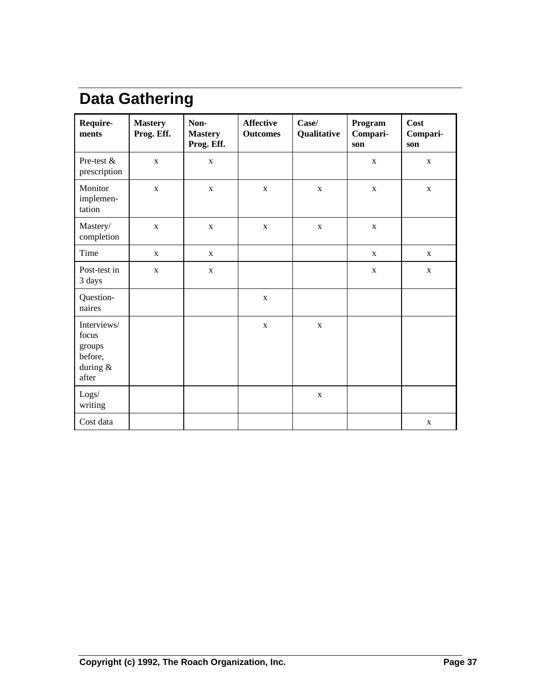## **Data Gathering**

| Require-<br>ments                                              | <b>Mastery</b><br>Prog. Eff. | Non-<br><b>Mastery</b><br>Prog. Eff. | <b>Affective</b><br><b>Outcomes</b> | Case/<br>Program<br>Qualitative<br>Compari-<br>son |              | Cost<br>Compari-<br>son |
|----------------------------------------------------------------|------------------------------|--------------------------------------|-------------------------------------|----------------------------------------------------|--------------|-------------------------|
| Pre-test &<br>prescription                                     | $\mathbf{X}$                 | $\mathbf X$                          |                                     |                                                    | $\mathbf{X}$ | $\mathbf{X}$            |
| Monitor<br>implemen-<br>tation                                 | $\mathbf X$                  | $\mathbf X$                          | $\mathbf X$                         | $\mathbf X$                                        | $\mathbf X$  | $\mathbf X$             |
| Mastery/<br>completion                                         | $\mathbf X$                  | $\mathbf X$                          | $\mathbf X$                         | $\mathbf X$                                        | $\mathbf X$  |                         |
| Time                                                           | $\mathbf X$                  | $\mathbf X$                          |                                     |                                                    | $\mathbf{x}$ | $\mathbf{X}$            |
| Post-test in<br>3 days                                         | $\mathbf{X}$                 | $\mathbf X$                          |                                     |                                                    | $\mathbf X$  | $\mathbf X$             |
| Question-<br>naires                                            |                              |                                      | $\mathbf{X}$                        |                                                    |              |                         |
| Interviews/<br>focus<br>groups<br>before,<br>during &<br>after |                              |                                      | $\mathbf X$                         | $\mathbf X$                                        |              |                         |
| Logs/<br>writing                                               |                              |                                      |                                     | $\mathbf X$                                        |              |                         |
| Cost data                                                      |                              |                                      |                                     |                                                    |              | $\mathbf{X}$            |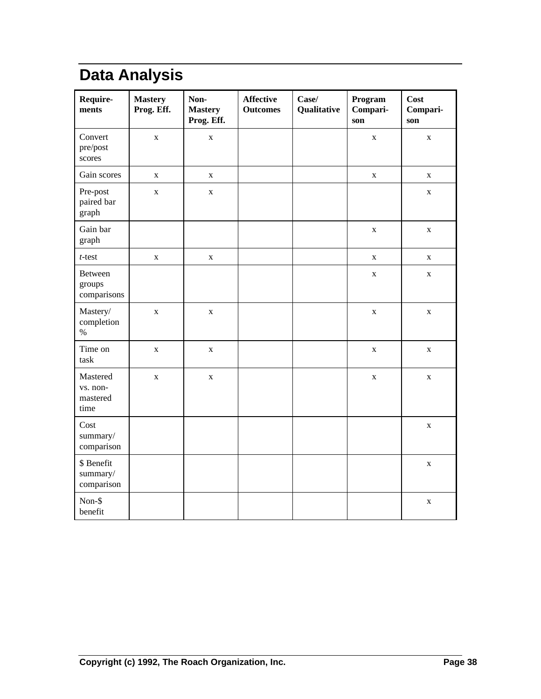## **Data Analysis**

| Require-<br>ments                        | <b>Mastery</b><br>Prog. Eff. | Non-<br><b>Mastery</b><br>Prog. Eff. | <b>Affective</b><br><b>Outcomes</b> | Case/<br>Qualitative | Program<br>Compari-<br>son | <b>Cost</b><br>Compari-<br>son |
|------------------------------------------|------------------------------|--------------------------------------|-------------------------------------|----------------------|----------------------------|--------------------------------|
| Convert<br>pre/post<br>scores            | $\mathbf X$                  | $\mathbf X$                          |                                     |                      | $\mathbf X$                | $\mathbf X$                    |
| Gain scores                              | $\mathbf X$                  | $\mathbf X$                          |                                     |                      | $\mathbf X$                | $\mathbf X$                    |
| Pre-post<br>paired bar<br>graph          | $\mathbf X$                  | $\mathbf X$                          |                                     |                      |                            | $\mathbf X$                    |
| Gain bar<br>graph                        |                              |                                      |                                     |                      | $\mathbf X$                | $\mathbf X$                    |
| $t$ -test                                | $\mathbf X$                  | $\mathbf X$                          |                                     |                      | $\mathbf X$                | $\mathbf X$                    |
| Between<br>groups<br>comparisons         |                              |                                      |                                     |                      | $\mathbf X$                | $\mathbf X$                    |
| Mastery/<br>completion<br>$\%$           | $\mathbf X$                  | $\mathbf X$                          |                                     |                      | $\mathbf X$                | $\mathbf X$                    |
| Time on<br>task                          | $\mathbf X$                  | $\mathbf X$                          |                                     |                      | $\mathbf X$                | $\mathbf X$                    |
| Mastered<br>vs. non-<br>mastered<br>time | $\mathbf X$                  | $\mathbf X$                          |                                     |                      | $\mathbf X$                | $\mathbf X$                    |
| Cost<br>summary/<br>comparison           |                              |                                      |                                     |                      |                            | $\mathbf X$                    |
| \$ Benefit<br>summary/<br>comparison     |                              |                                      |                                     |                      |                            | $\mathbf X$                    |
| Non-\$<br>benefit                        |                              |                                      |                                     |                      |                            | $\mathbf X$                    |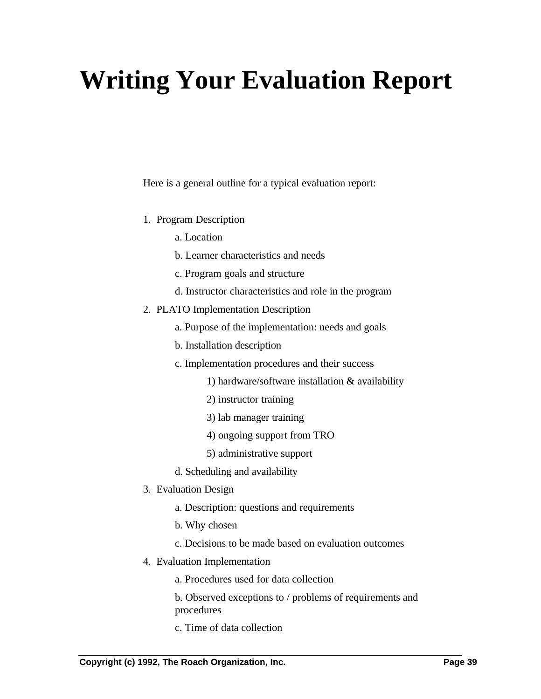# **Writing Your Evaluation Report**

Here is a general outline for a typical evaluation report:

- 1. Program Description
	- a. Location
	- b. Learner characteristics and needs
	- c. Program goals and structure
	- d. Instructor characteristics and role in the program
- 2. PLATO Implementation Description
	- a. Purpose of the implementation: needs and goals
	- b. Installation description
	- c. Implementation procedures and their success
		- 1) hardware/software installation & availability
		- 2) instructor training
		- 3) lab manager training
		- 4) ongoing support from TRO
		- 5) administrative support
	- d. Scheduling and availability
- 3. Evaluation Design
	- a. Description: questions and requirements
	- b. Why chosen
	- c. Decisions to be made based on evaluation outcomes
- 4. Evaluation Implementation
	- a. Procedures used for data collection
	- b. Observed exceptions to / problems of requirements and procedures
	- c. Time of data collection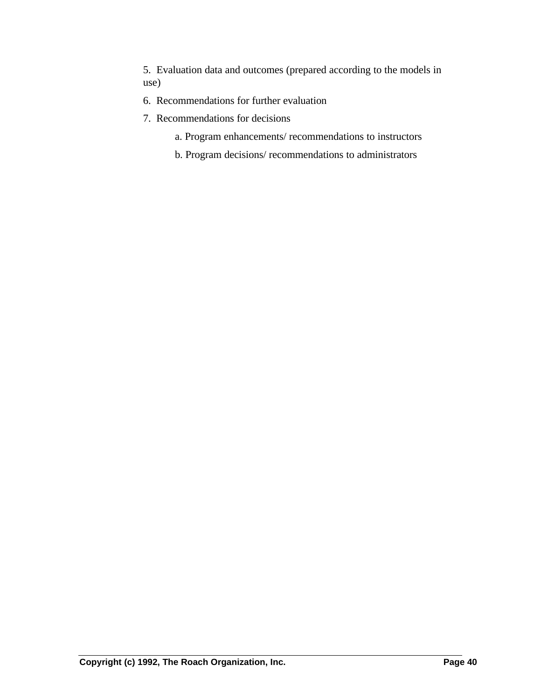5. Evaluation data and outcomes (prepared according to the models in use)

- 6. Recommendations for further evaluation
- 7. Recommendations for decisions
	- a. Program enhancements/ recommendations to instructors
	- b. Program decisions/ recommendations to administrators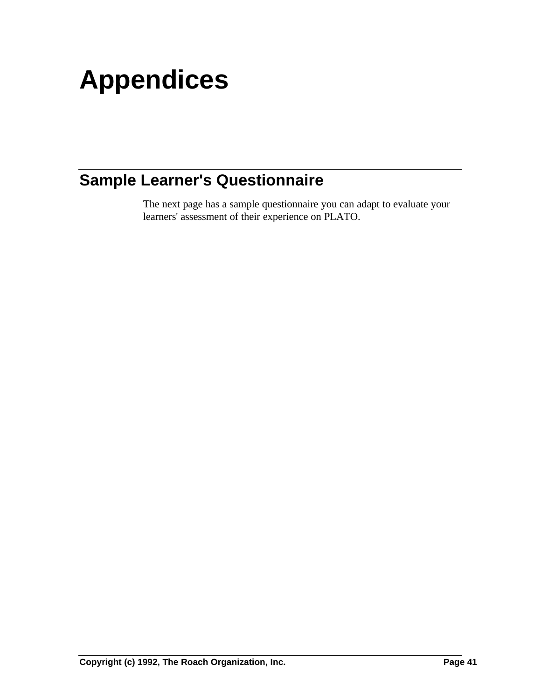# **Appendices**

## **Sample Learner's Questionnaire**

The next page has a sample questionnaire you can adapt to evaluate your learners' assessment of their experience on PLATO.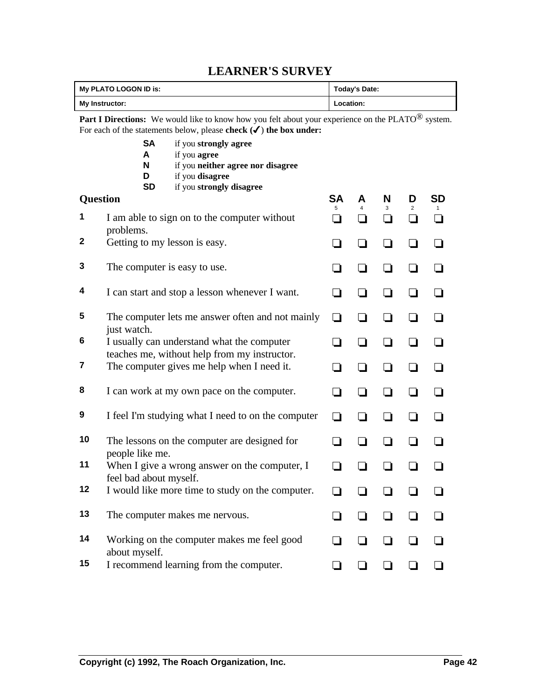### **LEARNER'S SURVEY**

|              | My PLATO LOGON ID is:                                                                                                                                                                                |                                                                                            | <b>Today's Date:</b>     |                          |                |                |           |  |
|--------------|------------------------------------------------------------------------------------------------------------------------------------------------------------------------------------------------------|--------------------------------------------------------------------------------------------|--------------------------|--------------------------|----------------|----------------|-----------|--|
|              | My Instructor:                                                                                                                                                                                       | Location:                                                                                  |                          |                          |                |                |           |  |
|              | <b>Part I Directions:</b> We would like to know how you felt about your experience on the PLATO <sup>®</sup> system.<br>For each of the statements below, please check $(\checkmark)$ the box under: |                                                                                            |                          |                          |                |                |           |  |
|              | <b>SA</b><br>A<br>N<br>D<br><b>SD</b>                                                                                                                                                                |                                                                                            |                          |                          |                |                |           |  |
| Question     |                                                                                                                                                                                                      | if you strongly disagree                                                                   | SA                       | A                        | N              | D              | <b>SD</b> |  |
| 1            | problems.                                                                                                                                                                                            | I am able to sign on to the computer without                                               | 5<br>- 1                 | 4                        | 3<br>l 1       | $\overline{2}$ | $\Box$    |  |
| $\mathbf{2}$ | Getting to my lesson is easy.                                                                                                                                                                        |                                                                                            | $\overline{\phantom{a}}$ |                          | - 1            |                |           |  |
| 3            | The computer is easy to use.                                                                                                                                                                         |                                                                                            | - 1                      | $\overline{\phantom{a}}$ | ❏              |                |           |  |
| 4            |                                                                                                                                                                                                      | I can start and stop a lesson whenever I want.                                             | - 1                      |                          | ∣ 1            |                |           |  |
| 5            | just watch.                                                                                                                                                                                          | The computer lets me answer often and not mainly                                           | ப                        |                          | - 1            |                |           |  |
| 6            |                                                                                                                                                                                                      | I usually can understand what the computer<br>teaches me, without help from my instructor. | - 1                      | l 1                      | $\blacksquare$ |                |           |  |
| 7            |                                                                                                                                                                                                      | The computer gives me help when I need it.                                                 | - 1                      |                          |                |                |           |  |
| 8            |                                                                                                                                                                                                      | I can work at my own pace on the computer.                                                 | $\mathcal{L}$            | l.                       | - 1            |                |           |  |
| 9            |                                                                                                                                                                                                      | I feel I'm studying what I need to on the computer                                         | l 1                      | l 1                      | $\blacksquare$ |                |           |  |
| 10           | people like me.                                                                                                                                                                                      | The lessons on the computer are designed for                                               | - 1                      |                          |                |                |           |  |
| 11           | feel bad about myself.                                                                                                                                                                               | When I give a wrong answer on the computer, I                                              | - 1                      |                          |                |                |           |  |
| 12           |                                                                                                                                                                                                      | I would like more time to study on the computer.                                           |                          |                          |                |                |           |  |
| 13           |                                                                                                                                                                                                      | The computer makes me nervous.                                                             |                          |                          |                |                |           |  |
| 14           | about myself.                                                                                                                                                                                        | Working on the computer makes me feel good                                                 |                          | $\blacksquare$           | $\blacksquare$ |                |           |  |
| 15           |                                                                                                                                                                                                      | I recommend learning from the computer.                                                    |                          |                          |                |                |           |  |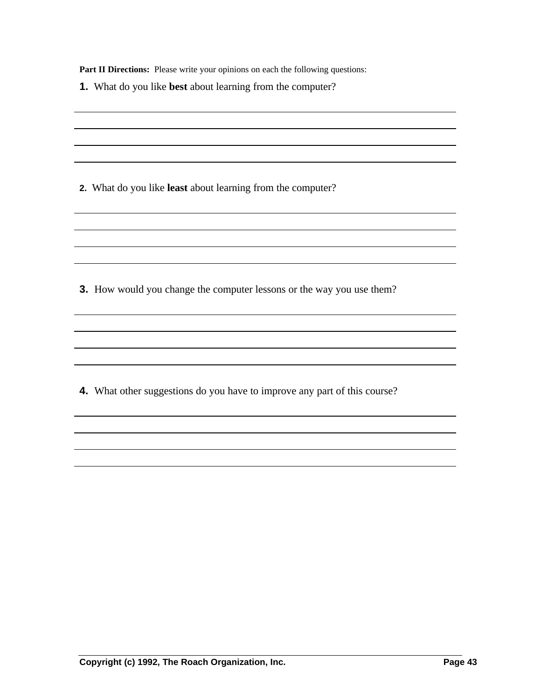Part II Directions: Please write your opinions on each the following questions:

|  |  |  |  |  | 1. What do you like best about learning from the computer? |  |  |
|--|--|--|--|--|------------------------------------------------------------|--|--|
|--|--|--|--|--|------------------------------------------------------------|--|--|

**2.** What do you like **least** about learning from the computer?

**3.** How would you change the computer lessons or the way you use them?

and the control of the control of the control of the control of the control of the control of the control of the

**4.** What other suggestions do you have to improve any part of this course?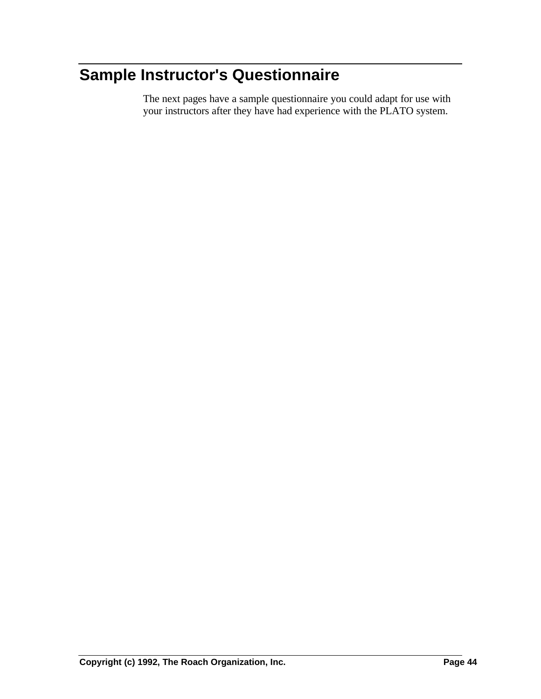## **Sample Instructor's Questionnaire**

The next pages have a sample questionnaire you could adapt for use with your instructors after they have had experience with the PLATO system.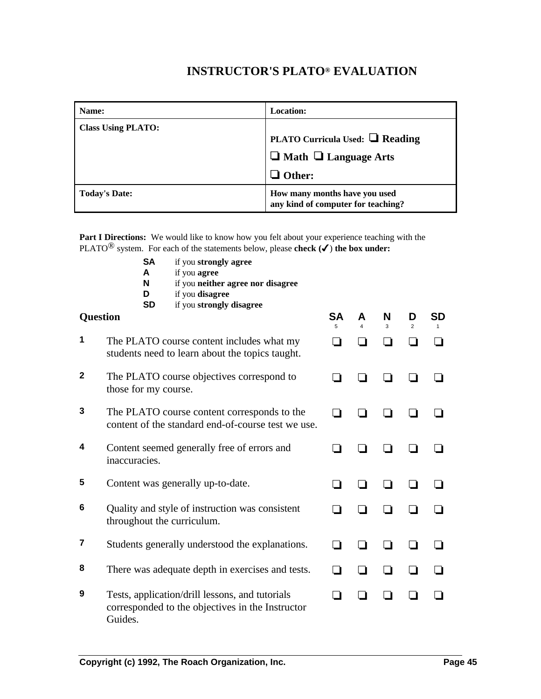#### **INSTRUCTOR'S PLATO® EVALUATION**

| Name:                     | <b>Location:</b>                                                                                 |
|---------------------------|--------------------------------------------------------------------------------------------------|
| <b>Class Using PLATO:</b> | <b>PLATO Curricula Used:</b> $\Box$ Reading<br>$\Box$ Math $\Box$ Language Arts<br>$\Box$ Other: |
| <b>Today's Date:</b>      | How many months have you used<br>any kind of computer for teaching?                              |

**Part I Directions:** We would like to know how you felt about your experience teaching with the PLATO<sup>®</sup> system. For each of the statements below, please **check**  $(\checkmark)$  **the box under:** 

**SA** if you **strongly agree A** if you **agree N** if you **neither agree nor disagree D** if you **disagree SD** if you **strongly disagree Question SA** 5 **A** 4 **N** 3 **D** 2 **SD** 1 **1** The PLATO course content includes what my students need to learn about the topics taught. o o o o o **2** The PLATO course objectives correspond to those for my course. o o o o o **3** The PLATO course content corresponds to the content of the standard end-of-course test we use. o o o o o **4** Content seemed generally free of errors and inaccuracies. o o o o o **5** Content was generally up-to-date.  $\qquad \qquad \Box \qquad \Box \qquad \Box \qquad \Box \qquad \Box$ **6** Quality and style of instruction was consistent throughout the curriculum. o o o o o **7** Students generally understood the explanations.  $\Box$   $\Box$   $\Box$   $\Box$ **8** There was adequate depth in exercises and tests.  $\Box$   $\Box$   $\Box$   $\Box$ **9** Tests, application/drill lessons, and tutorials corresponded to the objectives in the Instructor o o o o o

Guides.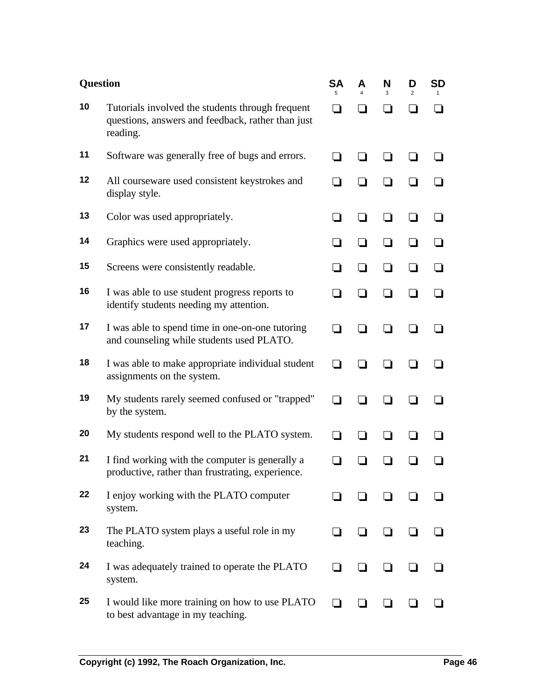| <b>Question</b> |                                                                                                                   | <b>SA</b><br>5 | А<br>4 | N<br>3 | D<br>$\overline{2}$ | <b>SD</b> |
|-----------------|-------------------------------------------------------------------------------------------------------------------|----------------|--------|--------|---------------------|-----------|
| 10              | Tutorials involved the students through frequent<br>questions, answers and feedback, rather than just<br>reading. |                |        |        | - 1                 | - 1       |
| 11              | Software was generally free of bugs and errors.                                                                   |                |        |        |                     |           |
| 12              | All courseware used consistent keystrokes and<br>display style.                                                   |                |        |        |                     |           |
| 13              | Color was used appropriately.                                                                                     |                |        |        |                     |           |
| 14              | Graphics were used appropriately.                                                                                 |                |        |        |                     |           |
| 15              | Screens were consistently readable.                                                                               |                |        |        |                     |           |
| 16              | I was able to use student progress reports to<br>identify students needing my attention.                          |                |        |        |                     |           |
| 17              | I was able to spend time in one-on-one tutoring<br>and counseling while students used PLATO.                      |                |        |        |                     |           |
| 18              | I was able to make appropriate individual student<br>assignments on the system.                                   |                |        |        |                     |           |
| 19              | My students rarely seemed confused or "trapped"<br>by the system.                                                 |                |        |        |                     |           |
| 20              | My students respond well to the PLATO system.                                                                     |                |        |        |                     |           |
| 21              | I find working with the computer is generally a<br>productive, rather than frustrating, experience.               |                |        |        |                     |           |
| 22              | I enjoy working with the PLATO computer<br>system.                                                                |                |        |        |                     |           |
| 23              | The PLATO system plays a useful role in my<br>teaching.                                                           |                |        |        |                     |           |
| 24              | I was adequately trained to operate the PLATO<br>system.                                                          |                |        |        |                     |           |
| 25              | I would like more training on how to use PLATO<br>to best advantage in my teaching.                               |                |        |        |                     |           |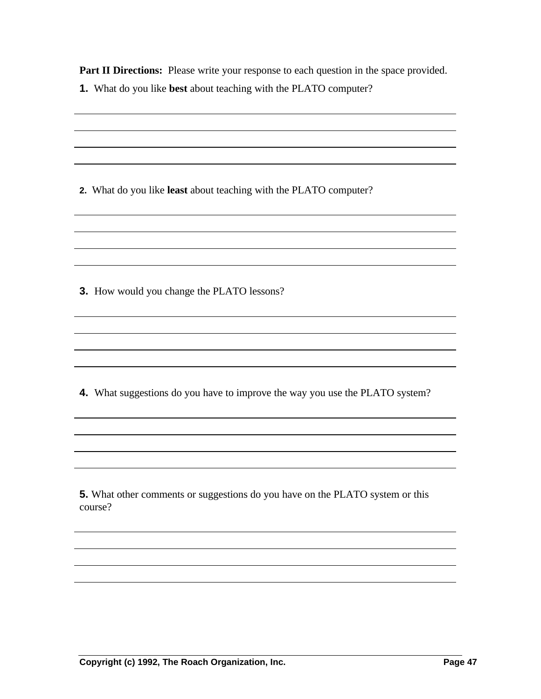**Part II Directions:** Please write your response to each question in the space provided.

| 1. What do you like best about teaching with the PLATO computer?              |  |
|-------------------------------------------------------------------------------|--|
|                                                                               |  |
|                                                                               |  |
|                                                                               |  |
|                                                                               |  |
|                                                                               |  |
| 2. What do you like least about teaching with the PLATO computer?             |  |
|                                                                               |  |
|                                                                               |  |
|                                                                               |  |
|                                                                               |  |
| 3. How would you change the PLATO lessons?                                    |  |
|                                                                               |  |
|                                                                               |  |
|                                                                               |  |
|                                                                               |  |
|                                                                               |  |
| 4. What suggestions do you have to improve the way you use the PLATO system?  |  |
|                                                                               |  |
|                                                                               |  |
|                                                                               |  |
|                                                                               |  |
|                                                                               |  |
| 5. What other comments or suggestions do you have on the PLATO system or this |  |
| course?                                                                       |  |
|                                                                               |  |
|                                                                               |  |
|                                                                               |  |
|                                                                               |  |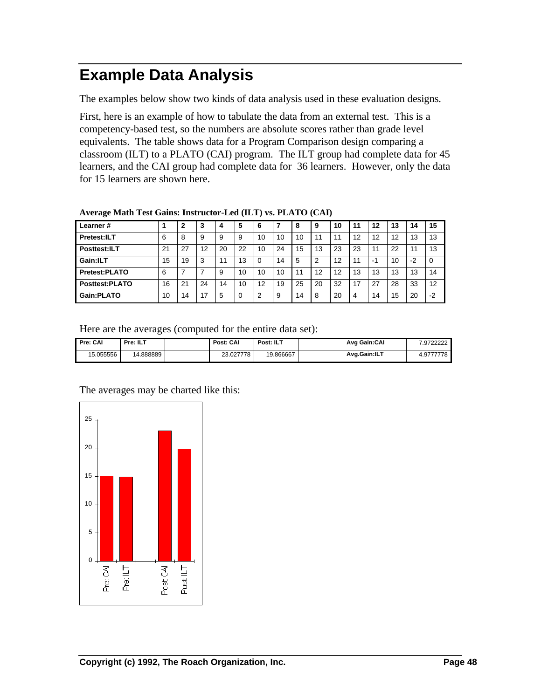## **Example Data Analysis**

The examples below show two kinds of data analysis used in these evaluation designs.

First, here is an example of how to tabulate the data from an external test. This is a competency-based test, so the numbers are absolute scores rather than grade level equivalents. The table shows data for a Program Comparison design comparing a classroom (ILT) to a PLATO (CAI) program. The ILT group had complete data for 45 learners, and the CAI group had complete data for 36 learners. However, only the data for 15 learners are shown here.

| Learner#             |    | 2  | 3  | 4  | 5  | 6  |    | 8  | 9  | 10 | 11 | 12 | 13 | 14   | 15       |
|----------------------|----|----|----|----|----|----|----|----|----|----|----|----|----|------|----------|
| Pretest:ILT          | 6  | 8  | 9  | 9  | 9  | 10 | 10 | 10 | 1  |    | 12 | 12 | 12 | 13   | 13       |
| Posttest:ILT         | 21 | 27 | 12 | 20 | 22 | 10 | 24 | 15 | 13 | 23 | 23 | 11 | 22 | 11   | 13       |
| Gain:ILT             | 15 | 19 | 3  | 11 | 13 |    | 14 | 5  | っ  | 12 | 11 | -1 | 10 | $-2$ | $\Omega$ |
| <b>Pretest:PLATO</b> | 6  |    |    | 9  | 10 | 10 | 10 | 11 | 12 | 12 | 13 | 13 | 13 | 13   | 14       |
| Posttest:PLATO       | 16 | 21 | 24 | 14 | 10 | 12 | 19 | 25 | 20 | 32 | 17 | 27 | 28 | 33   | 12       |
| Gain:PLATO           | 10 | 14 | 17 | 5  | 0  | ົ  | 9  | 14 | 8  | 20 | 4  | 14 | 15 | 20   | $-2$     |

**Average Math Test Gains: Instructor-Led (ILT) vs. PLATO (CAI)**

Here are the averages (computed for the entire data set):

| Pre: CAI  | Pre: ILT | Post: CAI | Post: ILT | Avg Gain:CAI | .9722222  |
|-----------|----------|-----------|-----------|--------------|-----------|
| 15.055556 | 4.888889 | 23.027778 | 19.866667 | Avg.Gain:ILT | 4.9777778 |



The averages may be charted like this: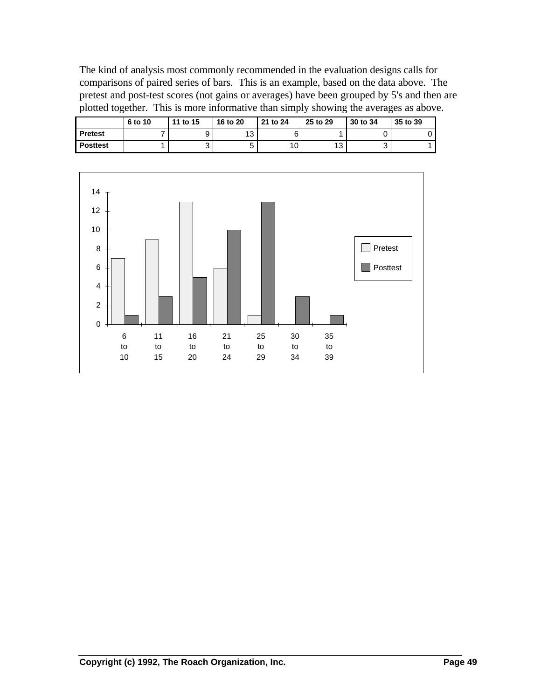The kind of analysis most commonly recommended in the evaluation designs calls for comparisons of paired series of bars. This is an example, based on the data above. The pretest and post-test scores (not gains or averages) have been grouped by 5's and then are plotted together. This is more informative than simply showing the averages as above.

|                 | 6 to 10 | 11 to 15 | 16 to 20 | 21 to 24 | 25 to 29  | 30 to 34 | 35 to 39 |
|-----------------|---------|----------|----------|----------|-----------|----------|----------|
| <b>Pretest</b>  |         |          | 12<br>ٮ  |          |           |          |          |
| <b>Posttest</b> |         | ື        | ∽<br>ັ   | v        | 12<br>ں ا | ບ        |          |